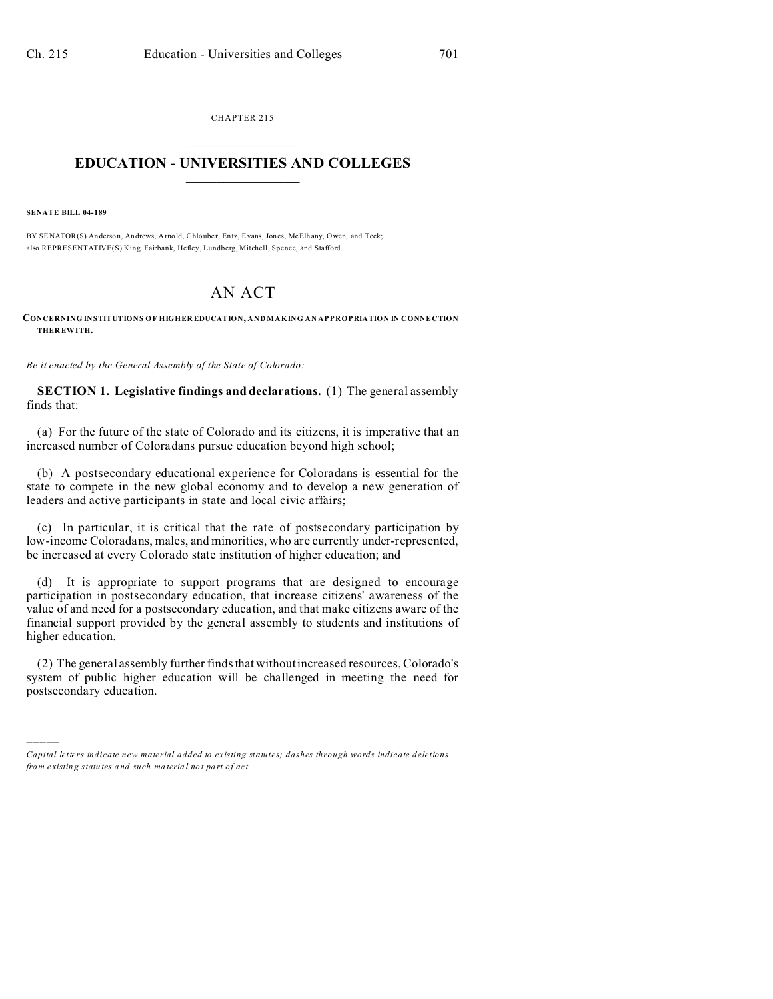CHAPTER 215  $\overline{\phantom{a}}$  , where  $\overline{\phantom{a}}$ 

## **EDUCATION - UNIVERSITIES AND COLLEGES**  $\frac{1}{2}$  ,  $\frac{1}{2}$  ,  $\frac{1}{2}$  ,  $\frac{1}{2}$  ,  $\frac{1}{2}$  ,  $\frac{1}{2}$  ,  $\frac{1}{2}$

**SENATE BILL 04-189**

)))))

BY SENATOR(S) Anderson, Andrews, Arnold, Chlouber, Entz, Evans, Jones, McElhany, Owen, and Teck; also REPRESENTATIVE(S) King, Fairbank, Hefley, Lundberg, Mitchell, Spence, and Stafford.

# AN ACT

**CONCERNING INSTITUTIONS OF HIGHER EDUCATION, AND MAKING AN APPROPRIATION IN CONNECTION THER EWITH.**

*Be it enacted by the General Assembly of the State of Colorado:*

**SECTION 1. Legislative findings and declarations.** (1) The general assembly finds that:

(a) For the future of the state of Colorado and its citizens, it is imperative that an increased number of Coloradans pursue education beyond high school;

(b) A postsecondary educational experience for Coloradans is essential for the state to compete in the new global economy and to develop a new generation of leaders and active participants in state and local civic affairs;

(c) In particular, it is critical that the rate of postsecondary participation by low-income Coloradans, males, and minorities, who are currently under-represented, be increased at every Colorado state institution of higher education; and

(d) It is appropriate to support programs that are designed to encourage participation in postsecondary education, that increase citizens' awareness of the value of and need for a postsecondary education, and that make citizens aware of the financial support provided by the general assembly to students and institutions of higher education.

(2) The general assembly further finds that without increased resources, Colorado's system of public higher education will be challenged in meeting the need for postsecondary education.

*Capital letters indicate new material added to existing statutes; dashes through words indicate deletions from e xistin g statu tes a nd such ma teria l no t pa rt of ac t.*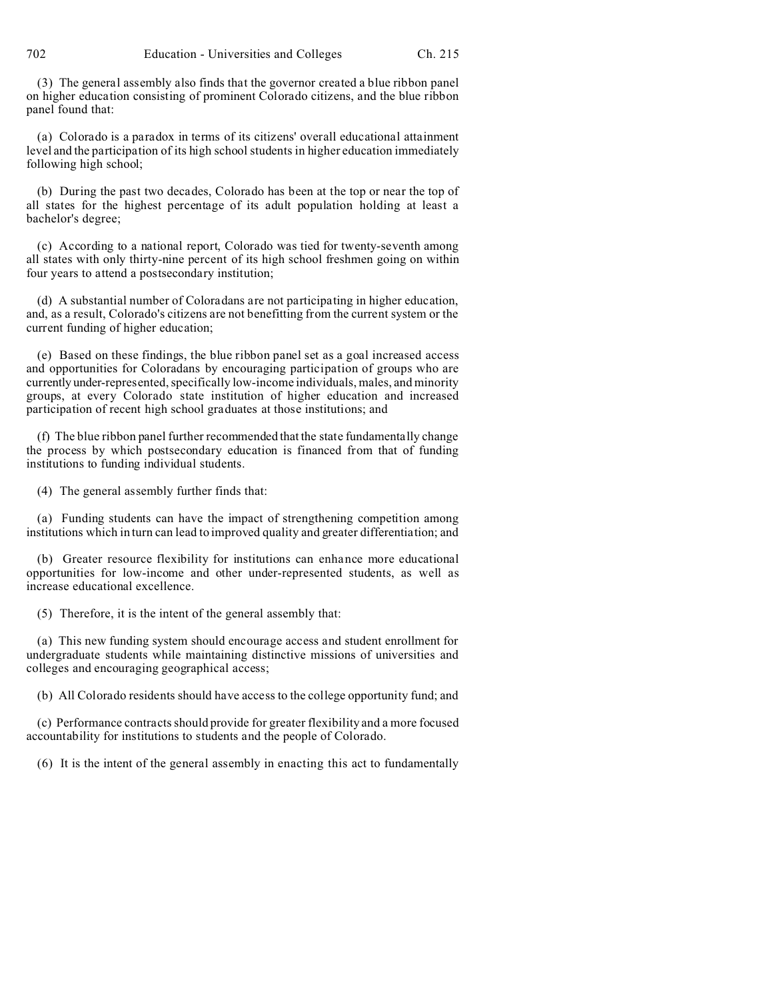(3) The general assembly also finds that the governor created a blue ribbon panel on higher education consisting of prominent Colorado citizens, and the blue ribbon panel found that:

(a) Colorado is a paradox in terms of its citizens' overall educational attainment level and the participation of its high school students in higher education immediately following high school;

(b) During the past two decades, Colorado has been at the top or near the top of all states for the highest percentage of its adult population holding at least a bachelor's degree;

(c) According to a national report, Colorado was tied for twenty-seventh among all states with only thirty-nine percent of its high school freshmen going on within four years to attend a postsecondary institution;

(d) A substantial number of Coloradans are not participating in higher education, and, as a result, Colorado's citizens are not benefitting from the current system or the current funding of higher education;

(e) Based on these findings, the blue ribbon panel set as a goal increased access and opportunities for Coloradans by encouraging participation of groups who are currently under-represented, specifically low-income individuals, males, and minority groups, at every Colorado state institution of higher education and increased participation of recent high school graduates at those institutions; and

(f) The blue ribbon panel further recommended that the state fundamentally change the process by which postsecondary education is financed from that of funding institutions to funding individual students.

(4) The general assembly further finds that:

(a) Funding students can have the impact of strengthening competition among institutions which in turn can lead to improved quality and greater differentiation; and

(b) Greater resource flexibility for institutions can enhance more educational opportunities for low-income and other under-represented students, as well as increase educational excellence.

(5) Therefore, it is the intent of the general assembly that:

(a) This new funding system should encourage access and student enrollment for undergraduate students while maintaining distinctive missions of universities and colleges and encouraging geographical access;

(b) All Colorado residents should have access to the college opportunity fund; and

(c) Performance contracts should provide for greater flexibility and a more focused accountability for institutions to students and the people of Colorado.

(6) It is the intent of the general assembly in enacting this act to fundamentally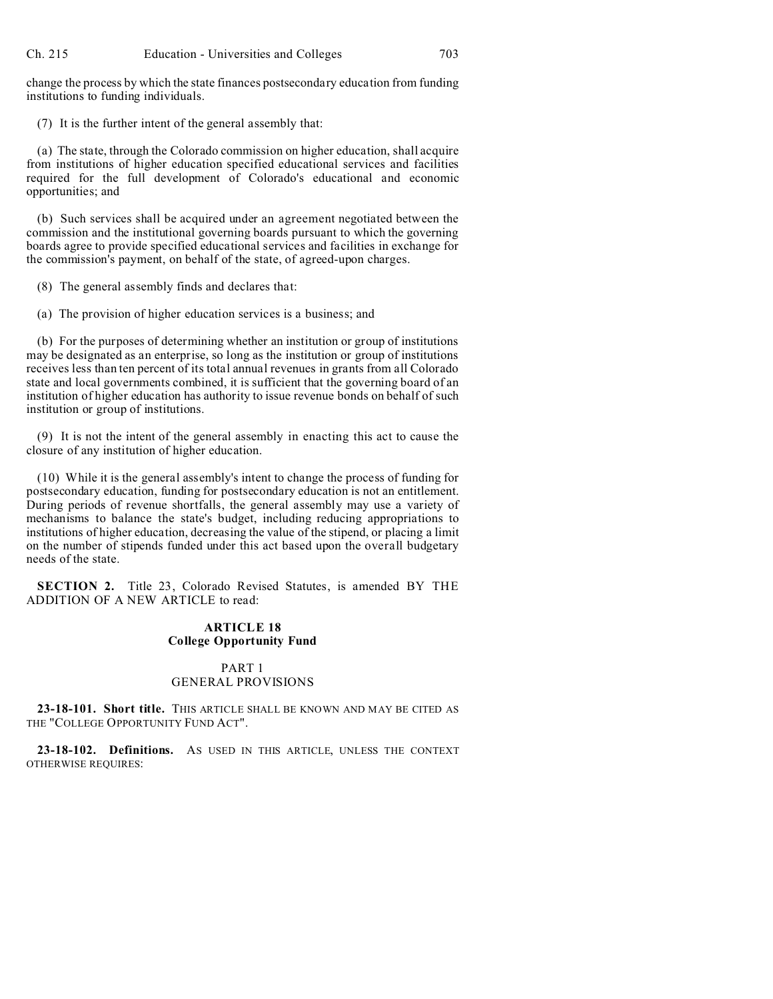change the process by which the state finances postsecondary education from funding institutions to funding individuals.

(7) It is the further intent of the general assembly that:

(a) The state, through the Colorado commission on higher education, shall acquire from institutions of higher education specified educational services and facilities required for the full development of Colorado's educational and economic opportunities; and

(b) Such services shall be acquired under an agreement negotiated between the commission and the institutional governing boards pursuant to which the governing boards agree to provide specified educational services and facilities in exchange for the commission's payment, on behalf of the state, of agreed-upon charges.

(8) The general assembly finds and declares that:

(a) The provision of higher education services is a business; and

(b) For the purposes of determining whether an institution or group of institutions may be designated as an enterprise, so long as the institution or group of institutions receives less than ten percent of its total annual revenues in grants from all Colorado state and local governments combined, it is sufficient that the governing board of an institution of higher education has authority to issue revenue bonds on behalf of such institution or group of institutions.

(9) It is not the intent of the general assembly in enacting this act to cause the closure of any institution of higher education.

(10) While it is the general assembly's intent to change the process of funding for postsecondary education, funding for postsecondary education is not an entitlement. During periods of revenue shortfalls, the general assembly may use a variety of mechanisms to balance the state's budget, including reducing appropriations to institutions of higher education, decreasing the value of the stipend, or placing a limit on the number of stipends funded under this act based upon the overall budgetary needs of the state.

**SECTION 2.** Title 23, Colorado Revised Statutes, is amended BY THE ADDITION OF A NEW ARTICLE to read:

## **ARTICLE 18 College Opportunity Fund**

### PART 1 GENERAL PROVISIONS

**23-18-101. Short title.** THIS ARTICLE SHALL BE KNOWN AND MAY BE CITED AS THE "COLLEGE OPPORTUNITY FUND ACT".

**23-18-102. Definitions.** AS USED IN THIS ARTICLE, UNLESS THE CONTEXT OTHERWISE REQUIRES: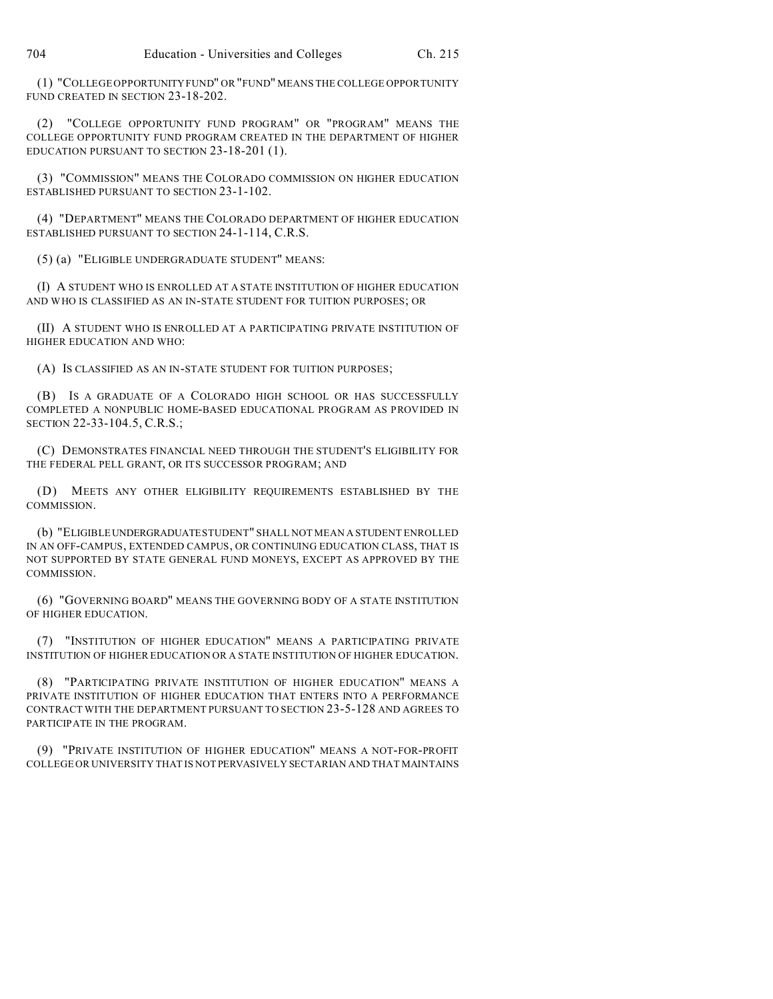(1) "COLLEGE OPPORTUNITY FUND" OR "FUND" MEANS THE COLLEGE OPPORTUNITY FUND CREATED IN SECTION 23-18-202.

(2) "COLLEGE OPPORTUNITY FUND PROGRAM" OR "PROGRAM" MEANS THE COLLEGE OPPORTUNITY FUND PROGRAM CREATED IN THE DEPARTMENT OF HIGHER EDUCATION PURSUANT TO SECTION 23-18-201 (1).

(3) "COMMISSION" MEANS THE COLORADO COMMISSION ON HIGHER EDUCATION ESTABLISHED PURSUANT TO SECTION 23-1-102.

(4) "DEPARTMENT" MEANS THE COLORADO DEPARTMENT OF HIGHER EDUCATION ESTABLISHED PURSUANT TO SECTION 24-1-114, C.R.S.

(5) (a) "ELIGIBLE UNDERGRADUATE STUDENT" MEANS:

(I) A STUDENT WHO IS ENROLLED AT A STATE INSTITUTION OF HIGHER EDUCATION AND WHO IS CLASSIFIED AS AN IN-STATE STUDENT FOR TUITION PURPOSES; OR

(II) A STUDENT WHO IS ENROLLED AT A PARTICIPATING PRIVATE INSTITUTION OF HIGHER EDUCATION AND WHO:

(A) IS CLASSIFIED AS AN IN-STATE STUDENT FOR TUITION PURPOSES;

(B) IS A GRADUATE OF A COLORADO HIGH SCHOOL OR HAS SUCCESSFULLY COMPLETED A NONPUBLIC HOME-BASED EDUCATIONAL PROGRAM AS PROVIDED IN SECTION 22-33-104.5, C.R.S.;

(C) DEMONSTRATES FINANCIAL NEED THROUGH THE STUDENT'S ELIGIBILITY FOR THE FEDERAL PELL GRANT, OR ITS SUCCESSOR PROGRAM; AND

(D) MEETS ANY OTHER ELIGIBILITY REQUIREMENTS ESTABLISHED BY THE COMMISSION.

(b) "ELIGIBLEUNDERGRADUATE STUDENT" SHALL NOT MEAN A STUDENT ENROLLED IN AN OFF-CAMPUS, EXTENDED CAMPUS, OR CONTINUING EDUCATION CLASS, THAT IS NOT SUPPORTED BY STATE GENERAL FUND MONEYS, EXCEPT AS APPROVED BY THE COMMISSION.

(6) "GOVERNING BOARD" MEANS THE GOVERNING BODY OF A STATE INSTITUTION OF HIGHER EDUCATION.

(7) "INSTITUTION OF HIGHER EDUCATION" MEANS A PARTICIPATING PRIVATE INSTITUTION OF HIGHER EDUCATION OR A STATE INSTITUTION OF HIGHER EDUCATION.

(8) "PARTICIPATING PRIVATE INSTITUTION OF HIGHER EDUCATION" MEANS A PRIVATE INSTITUTION OF HIGHER EDUCATION THAT ENTERS INTO A PERFORMANCE CONTRACT WITH THE DEPARTMENT PURSUANT TO SECTION 23-5-128 AND AGREES TO PARTICIPATE IN THE PROGRAM.

(9) "PRIVATE INSTITUTION OF HIGHER EDUCATION" MEANS A NOT-FOR-PROFIT COLLEGE OR UNIVERSITY THAT IS NOT PERVASIVELY SECTARIAN AND THAT MAINTAINS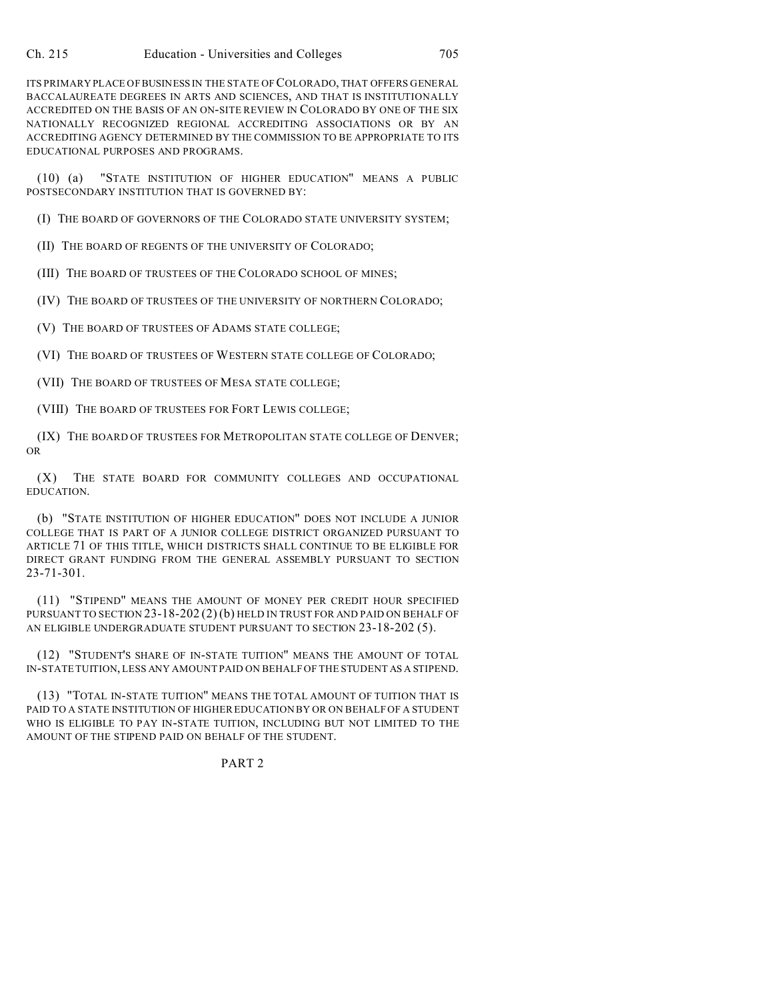ITS PRIMARY PLACE OF BUSINESS IN THE STATE OF COLORADO, THAT OFFERS GENERAL BACCALAUREATE DEGREES IN ARTS AND SCIENCES, AND THAT IS INSTITUTIONALLY ACCREDITED ON THE BASIS OF AN ON-SITE REVIEW IN COLORADO BY ONE OF THE SIX NATIONALLY RECOGNIZED REGIONAL ACCREDITING ASSOCIATIONS OR BY AN ACCREDITING AGENCY DETERMINED BY THE COMMISSION TO BE APPROPRIATE TO ITS EDUCATIONAL PURPOSES AND PROGRAMS.

(10) (a) "STATE INSTITUTION OF HIGHER EDUCATION" MEANS A PUBLIC POSTSECONDARY INSTITUTION THAT IS GOVERNED BY:

(I) THE BOARD OF GOVERNORS OF THE COLORADO STATE UNIVERSITY SYSTEM;

(II) THE BOARD OF REGENTS OF THE UNIVERSITY OF COLORADO;

(III) THE BOARD OF TRUSTEES OF THE COLORADO SCHOOL OF MINES;

(IV) THE BOARD OF TRUSTEES OF THE UNIVERSITY OF NORTHERN COLORADO;

(V) THE BOARD OF TRUSTEES OF ADAMS STATE COLLEGE;

(VI) THE BOARD OF TRUSTEES OF WESTERN STATE COLLEGE OF COLORADO;

(VII) THE BOARD OF TRUSTEES OF MESA STATE COLLEGE;

(VIII) THE BOARD OF TRUSTEES FOR FORT LEWIS COLLEGE;

(IX) THE BOARD OF TRUSTEES FOR METROPOLITAN STATE COLLEGE OF DENVER; OR

(X) THE STATE BOARD FOR COMMUNITY COLLEGES AND OCCUPATIONAL EDUCATION.

(b) "STATE INSTITUTION OF HIGHER EDUCATION" DOES NOT INCLUDE A JUNIOR COLLEGE THAT IS PART OF A JUNIOR COLLEGE DISTRICT ORGANIZED PURSUANT TO ARTICLE 71 OF THIS TITLE, WHICH DISTRICTS SHALL CONTINUE TO BE ELIGIBLE FOR DIRECT GRANT FUNDING FROM THE GENERAL ASSEMBLY PURSUANT TO SECTION 23-71-301.

(11) "STIPEND" MEANS THE AMOUNT OF MONEY PER CREDIT HOUR SPECIFIED PURSUANT TO SECTION 23-18-202 (2) (b) HELD IN TRUST FOR AND PAID ON BEHALF OF AN ELIGIBLE UNDERGRADUATE STUDENT PURSUANT TO SECTION 23-18-202 (5).

(12) "STUDENT'S SHARE OF IN-STATE TUITION" MEANS THE AMOUNT OF TOTAL IN-STATE TUITION, LESS ANY AMOUNT PAID ON BEHALF OF THE STUDENT AS A STIPEND.

(13) "TOTAL IN-STATE TUITION" MEANS THE TOTAL AMOUNT OF TUITION THAT IS PAID TO A STATE INSTITUTION OF HIGHER EDUCATION BY OR ON BEHALF OF A STUDENT WHO IS ELIGIBLE TO PAY IN-STATE TUITION, INCLUDING BUT NOT LIMITED TO THE AMOUNT OF THE STIPEND PAID ON BEHALF OF THE STUDENT.

## PART 2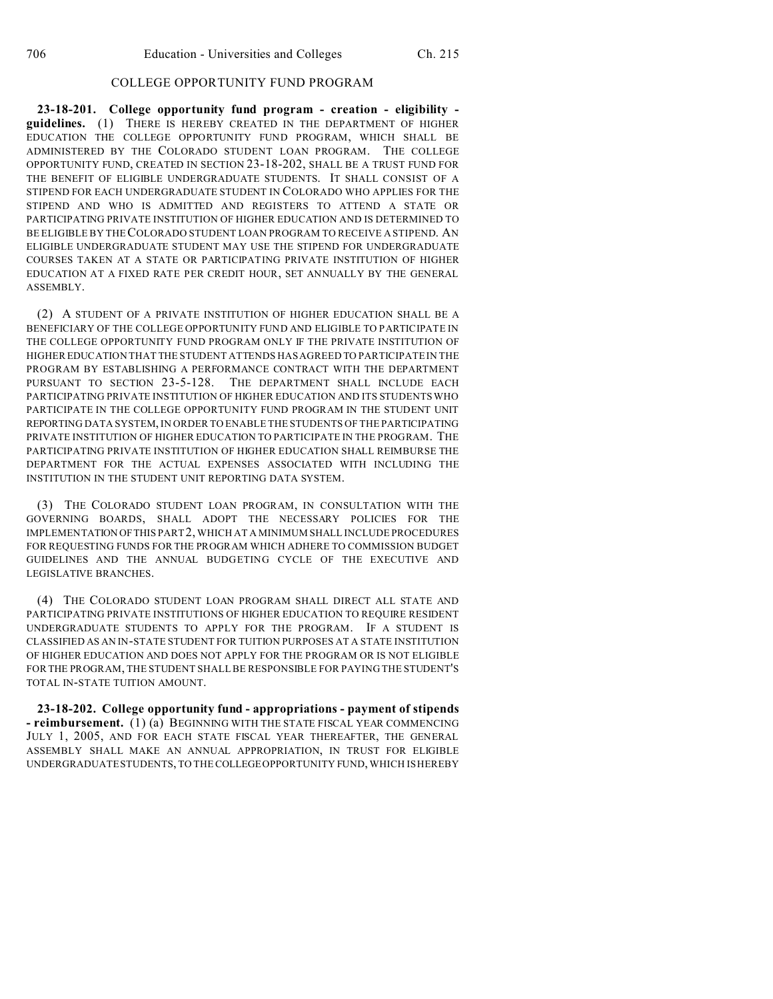## COLLEGE OPPORTUNITY FUND PROGRAM

**23-18-201. College opportunity fund program - creation - eligibility guidelines.** (1) THERE IS HEREBY CREATED IN THE DEPARTMENT OF HIGHER EDUCATION THE COLLEGE OPPORTUNITY FUND PROGRAM, WHICH SHALL BE ADMINISTERED BY THE COLORADO STUDENT LOAN PROGRAM. THE COLLEGE OPPORTUNITY FUND, CREATED IN SECTION 23-18-202, SHALL BE A TRUST FUND FOR THE BENEFIT OF ELIGIBLE UNDERGRADUATE STUDENTS. IT SHALL CONSIST OF A STIPEND FOR EACH UNDERGRADUATE STUDENT IN COLORADO WHO APPLIES FOR THE STIPEND AND WHO IS ADMITTED AND REGISTERS TO ATTEND A STATE OR PARTICIPATING PRIVATE INSTITUTION OF HIGHER EDUCATION AND IS DETERMINED TO BE ELIGIBLE BY THECOLORADO STUDENT LOAN PROGRAM TO RECEIVE A STIPEND. AN ELIGIBLE UNDERGRADUATE STUDENT MAY USE THE STIPEND FOR UNDERGRADUATE COURSES TAKEN AT A STATE OR PARTICIPATING PRIVATE INSTITUTION OF HIGHER EDUCATION AT A FIXED RATE PER CREDIT HOUR, SET ANNUALLY BY THE GENERAL ASSEMBLY.

(2) A STUDENT OF A PRIVATE INSTITUTION OF HIGHER EDUCATION SHALL BE A BENEFICIARY OF THE COLLEGE OPPORTUNITY FUND AND ELIGIBLE TO PARTICIPATE IN THE COLLEGE OPPORTUNITY FUND PROGRAM ONLY IF THE PRIVATE INSTITUTION OF HIGHER EDUCATION THAT THE STUDENT ATTENDS HAS AGREED TO PARTICIPATE IN THE PROGRAM BY ESTABLISHING A PERFORMANCE CONTRACT WITH THE DEPARTMENT PURSUANT TO SECTION 23-5-128. THE DEPARTMENT SHALL INCLUDE EACH PARTICIPATING PRIVATE INSTITUTION OF HIGHER EDUCATION AND ITS STUDENTS WHO PARTICIPATE IN THE COLLEGE OPPORTUNITY FUND PROGRAM IN THE STUDENT UNIT REPORTING DATA SYSTEM, IN ORDER TO ENABLE THE STUDENTS OF THE PARTICIPATING PRIVATE INSTITUTION OF HIGHER EDUCATION TO PARTICIPATE IN THE PROGRAM. THE PARTICIPATING PRIVATE INSTITUTION OF HIGHER EDUCATION SHALL REIMBURSE THE DEPARTMENT FOR THE ACTUAL EXPENSES ASSOCIATED WITH INCLUDING THE INSTITUTION IN THE STUDENT UNIT REPORTING DATA SYSTEM.

(3) THE COLORADO STUDENT LOAN PROGRAM, IN CONSULTATION WITH THE GOVERNING BOARDS, SHALL ADOPT THE NECESSARY POLICIES FOR THE IMPLEMENTATION OFTHIS PART 2, WHICH AT A MINIMUM SHALL INCLUDE PROCEDURES FOR REQUESTING FUNDS FOR THE PROGRAM WHICH ADHERE TO COMMISSION BUDGET GUIDELINES AND THE ANNUAL BUDGETING CYCLE OF THE EXECUTIVE AND LEGISLATIVE BRANCHES.

(4) THE COLORADO STUDENT LOAN PROGRAM SHALL DIRECT ALL STATE AND PARTICIPATING PRIVATE INSTITUTIONS OF HIGHER EDUCATION TO REQUIRE RESIDENT UNDERGRADUATE STUDENTS TO APPLY FOR THE PROGRAM. IF A STUDENT IS CLASSIFIED AS AN IN-STATE STUDENT FOR TUITION PURPOSES AT A STATE INSTITUTION OF HIGHER EDUCATION AND DOES NOT APPLY FOR THE PROGRAM OR IS NOT ELIGIBLE FOR THE PROGRAM, THE STUDENT SHALL BE RESPONSIBLE FOR PAYING THE STUDENT'S TOTAL IN-STATE TUITION AMOUNT.

**23-18-202. College opportunity fund - appropriations - payment of stipends - reimbursement.** (1) (a) BEGINNING WITH THE STATE FISCAL YEAR COMMENCING JULY 1, 2005, AND FOR EACH STATE FISCAL YEAR THEREAFTER, THE GENERAL ASSEMBLY SHALL MAKE AN ANNUAL APPROPRIATION, IN TRUST FOR ELIGIBLE UNDERGRADUATE STUDENTS, TO THE COLLEGE OPPORTUNITY FUND, WHICH IS HEREBY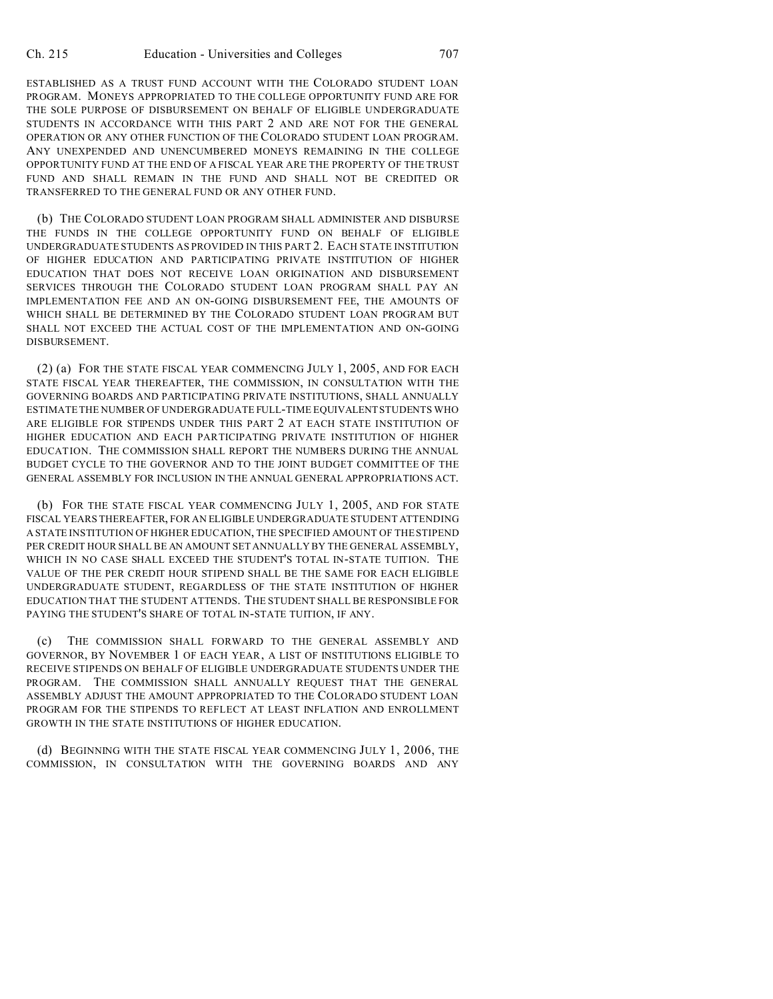ESTABLISHED AS A TRUST FUND ACCOUNT WITH THE COLORADO STUDENT LOAN PROGRAM. MONEYS APPROPRIATED TO THE COLLEGE OPPORTUNITY FUND ARE FOR THE SOLE PURPOSE OF DISBURSEMENT ON BEHALF OF ELIGIBLE UNDERGRADUATE STUDENTS IN ACCORDANCE WITH THIS PART 2 AND ARE NOT FOR THE GENERAL OPERATION OR ANY OTHER FUNCTION OF THE COLORADO STUDENT LOAN PROGRAM. ANY UNEXPENDED AND UNENCUMBERED MONEYS REMAINING IN THE COLLEGE OPPORTUNITY FUND AT THE END OF A FISCAL YEAR ARE THE PROPERTY OF THE TRUST FUND AND SHALL REMAIN IN THE FUND AND SHALL NOT BE CREDITED OR TRANSFERRED TO THE GENERAL FUND OR ANY OTHER FUND.

(b) THE COLORADO STUDENT LOAN PROGRAM SHALL ADMINISTER AND DISBURSE THE FUNDS IN THE COLLEGE OPPORTUNITY FUND ON BEHALF OF ELIGIBLE UNDERGRADUATE STUDENTS AS PROVIDED IN THIS PART 2. EACH STATE INSTITUTION OF HIGHER EDUCATION AND PARTICIPATING PRIVATE INSTITUTION OF HIGHER EDUCATION THAT DOES NOT RECEIVE LOAN ORIGINATION AND DISBURSEMENT SERVICES THROUGH THE COLORADO STUDENT LOAN PROGRAM SHALL PAY AN IMPLEMENTATION FEE AND AN ON-GOING DISBURSEMENT FEE, THE AMOUNTS OF WHICH SHALL BE DETERMINED BY THE COLORADO STUDENT LOAN PROGRAM BUT SHALL NOT EXCEED THE ACTUAL COST OF THE IMPLEMENTATION AND ON-GOING DISBURSEMENT.

(2) (a) FOR THE STATE FISCAL YEAR COMMENCING JULY 1, 2005, AND FOR EACH STATE FISCAL YEAR THEREAFTER, THE COMMISSION, IN CONSULTATION WITH THE GOVERNING BOARDS AND PARTICIPATING PRIVATE INSTITUTIONS, SHALL ANNUALLY ESTIMATE THE NUMBER OF UNDERGRADUATE FULL-TIME EQUIVALENT STUDENTS WHO ARE ELIGIBLE FOR STIPENDS UNDER THIS PART 2 AT EACH STATE INSTITUTION OF HIGHER EDUCATION AND EACH PARTICIPATING PRIVATE INSTITUTION OF HIGHER EDUCATION. THE COMMISSION SHALL REPORT THE NUMBERS DURING THE ANNUAL BUDGET CYCLE TO THE GOVERNOR AND TO THE JOINT BUDGET COMMITTEE OF THE GENERAL ASSEMBLY FOR INCLUSION IN THE ANNUAL GENERAL APPROPRIATIONS ACT.

(b) FOR THE STATE FISCAL YEAR COMMENCING JULY 1, 2005, AND FOR STATE FISCAL YEARS THEREAFTER, FOR AN ELIGIBLE UNDERGRADUATE STUDENT ATTENDING A STATE INSTITUTION OF HIGHER EDUCATION, THE SPECIFIED AMOUNT OF THE STIPEND PER CREDIT HOUR SHALL BE AN AMOUNT SET ANNUALLY BY THE GENERAL ASSEMBLY, WHICH IN NO CASE SHALL EXCEED THE STUDENT'S TOTAL IN-STATE TUITION. THE VALUE OF THE PER CREDIT HOUR STIPEND SHALL BE THE SAME FOR EACH ELIGIBLE UNDERGRADUATE STUDENT, REGARDLESS OF THE STATE INSTITUTION OF HIGHER EDUCATION THAT THE STUDENT ATTENDS. THE STUDENT SHALL BE RESPONSIBLE FOR PAYING THE STUDENT'S SHARE OF TOTAL IN-STATE TUITION, IF ANY.

(c) THE COMMISSION SHALL FORWARD TO THE GENERAL ASSEMBLY AND GOVERNOR, BY NOVEMBER 1 OF EACH YEAR, A LIST OF INSTITUTIONS ELIGIBLE TO RECEIVE STIPENDS ON BEHALF OF ELIGIBLE UNDERGRADUATE STUDENTS UNDER THE PROGRAM. THE COMMISSION SHALL ANNUALLY REQUEST THAT THE GENERAL ASSEMBLY ADJUST THE AMOUNT APPROPRIATED TO THE COLORADO STUDENT LOAN PROGRAM FOR THE STIPENDS TO REFLECT AT LEAST INFLATION AND ENROLLMENT GROWTH IN THE STATE INSTITUTIONS OF HIGHER EDUCATION.

(d) BEGINNING WITH THE STATE FISCAL YEAR COMMENCING JULY 1, 2006, THE COMMISSION, IN CONSULTATION WITH THE GOVERNING BOARDS AND ANY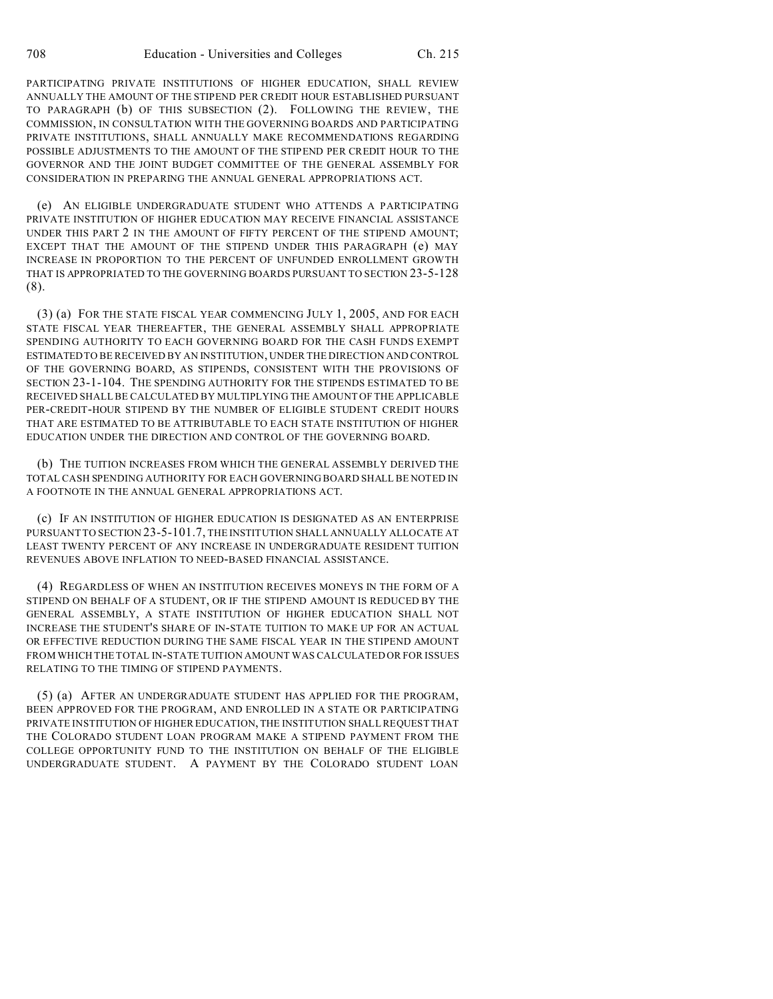PARTICIPATING PRIVATE INSTITUTIONS OF HIGHER EDUCATION, SHALL REVIEW ANNUALLY THE AMOUNT OF THE STIPEND PER CREDIT HOUR ESTABLISHED PURSUANT TO PARAGRAPH (b) OF THIS SUBSECTION (2). FOLLOWING THE REVIEW, THE COMMISSION, IN CONSULTATION WITH THE GOVERNING BOARDS AND PARTICIPATING PRIVATE INSTITUTIONS, SHALL ANNUALLY MAKE RECOMMENDATIONS REGARDING POSSIBLE ADJUSTMENTS TO THE AMOUNT OF THE STIPEND PER CREDIT HOUR TO THE GOVERNOR AND THE JOINT BUDGET COMMITTEE OF THE GENERAL ASSEMBLY FOR CONSIDERATION IN PREPARING THE ANNUAL GENERAL APPROPRIATIONS ACT.

(e) AN ELIGIBLE UNDERGRADUATE STUDENT WHO ATTENDS A PARTICIPATING PRIVATE INSTITUTION OF HIGHER EDUCATION MAY RECEIVE FINANCIAL ASSISTANCE UNDER THIS PART 2 IN THE AMOUNT OF FIFTY PERCENT OF THE STIPEND AMOUNT; EXCEPT THAT THE AMOUNT OF THE STIPEND UNDER THIS PARAGRAPH (e) MAY INCREASE IN PROPORTION TO THE PERCENT OF UNFUNDED ENROLLMENT GROWTH THAT IS APPROPRIATED TO THE GOVERNING BOARDS PURSUANT TO SECTION 23-5-128 (8).

(3) (a) FOR THE STATE FISCAL YEAR COMMENCING JULY 1, 2005, AND FOR EACH STATE FISCAL YEAR THEREAFTER, THE GENERAL ASSEMBLY SHALL APPROPRIATE SPENDING AUTHORITY TO EACH GOVERNING BOARD FOR THE CASH FUNDS EXEMPT ESTIMATED TO BE RECEIVED BY AN INSTITUTION, UNDER THE DIRECTION AND CONTROL OF THE GOVERNING BOARD, AS STIPENDS, CONSISTENT WITH THE PROVISIONS OF SECTION 23-1-104. THE SPENDING AUTHORITY FOR THE STIPENDS ESTIMATED TO BE RECEIVED SHALL BE CALCULATED BY MULTIPLYING THE AMOUNT OF THE APPLICABLE PER-CREDIT-HOUR STIPEND BY THE NUMBER OF ELIGIBLE STUDENT CREDIT HOURS THAT ARE ESTIMATED TO BE ATTRIBUTABLE TO EACH STATE INSTITUTION OF HIGHER EDUCATION UNDER THE DIRECTION AND CONTROL OF THE GOVERNING BOARD.

(b) THE TUITION INCREASES FROM WHICH THE GENERAL ASSEMBLY DERIVED THE TOTAL CASH SPENDING AUTHORITY FOR EACH GOVERNING BOARD SHALL BE NOTED IN A FOOTNOTE IN THE ANNUAL GENERAL APPROPRIATIONS ACT.

(c) IF AN INSTITUTION OF HIGHER EDUCATION IS DESIGNATED AS AN ENTERPRISE PURSUANT TO SECTION 23-5-101.7, THE INSTITUTION SHALL ANNUALLY ALLOCATE AT LEAST TWENTY PERCENT OF ANY INCREASE IN UNDERGRADUATE RESIDENT TUITION REVENUES ABOVE INFLATION TO NEED-BASED FINANCIAL ASSISTANCE.

(4) REGARDLESS OF WHEN AN INSTITUTION RECEIVES MONEYS IN THE FORM OF A STIPEND ON BEHALF OF A STUDENT, OR IF THE STIPEND AMOUNT IS REDUCED BY THE GENERAL ASSEMBLY, A STATE INSTITUTION OF HIGHER EDUCATION SHALL NOT INCREASE THE STUDENT'S SHARE OF IN-STATE TUITION TO MAKE UP FOR AN ACTUAL OR EFFECTIVE REDUCTION DURING THE SAME FISCAL YEAR IN THE STIPEND AMOUNT FROM WHICH THE TOTAL IN-STATE TUITION AMOUNT WAS CALCULATED OR FOR ISSUES RELATING TO THE TIMING OF STIPEND PAYMENTS.

(5) (a) AFTER AN UNDERGRADUATE STUDENT HAS APPLIED FOR THE PROGRAM, BEEN APPROVED FOR THE PROGRAM, AND ENROLLED IN A STATE OR PARTICIPATING PRIVATE INSTITUTION OF HIGHER EDUCATION, THE INSTITUTION SHALL REQUEST THAT THE COLORADO STUDENT LOAN PROGRAM MAKE A STIPEND PAYMENT FROM THE COLLEGE OPPORTUNITY FUND TO THE INSTITUTION ON BEHALF OF THE ELIGIBLE UNDERGRADUATE STUDENT. A PAYMENT BY THE COLORADO STUDENT LOAN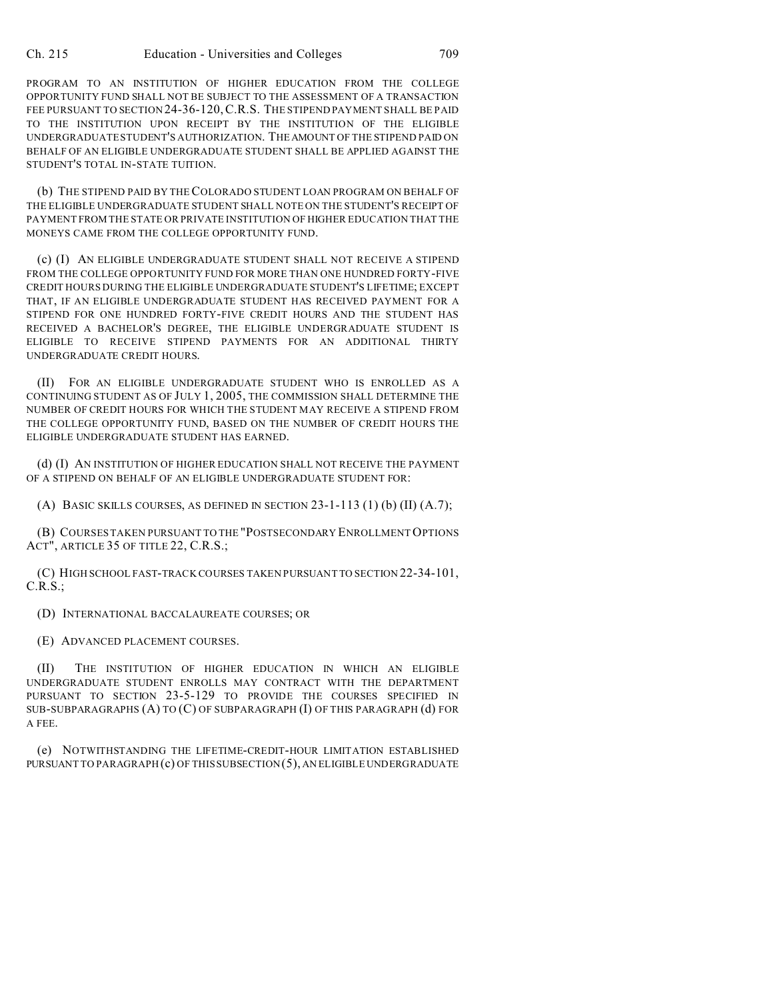PROGRAM TO AN INSTITUTION OF HIGHER EDUCATION FROM THE COLLEGE OPPORTUNITY FUND SHALL NOT BE SUBJECT TO THE ASSESSMENT OF A TRANSACTION FEE PURSUANT TO SECTION 24-36-120,C.R.S. THE STIPEND PAYMENT SHALL BE PAID TO THE INSTITUTION UPON RECEIPT BY THE INSTITUTION OF THE ELIGIBLE UNDERGRADUATE STUDENT'S AUTHORIZATION. THEAMOUNT OF THE STIPEND PAID ON BEHALF OF AN ELIGIBLE UNDERGRADUATE STUDENT SHALL BE APPLIED AGAINST THE STUDENT'S TOTAL IN-STATE TUITION.

(b) THE STIPEND PAID BY THE COLORADO STUDENT LOAN PROGRAM ON BEHALF OF THE ELIGIBLE UNDERGRADUATE STUDENT SHALL NOTE ON THE STUDENT'S RECEIPT OF PAYMENT FROM THE STATE OR PRIVATE INSTITUTION OF HIGHER EDUCATION THAT THE MONEYS CAME FROM THE COLLEGE OPPORTUNITY FUND.

(c) (I) AN ELIGIBLE UNDERGRADUATE STUDENT SHALL NOT RECEIVE A STIPEND FROM THE COLLEGE OPPORTUNITY FUND FOR MORE THAN ONE HUNDRED FORTY-FIVE CREDIT HOURS DURING THE ELIGIBLE UNDERGRADUATE STUDENT'S LIFETIME; EXCEPT THAT, IF AN ELIGIBLE UNDERGRADUATE STUDENT HAS RECEIVED PAYMENT FOR A STIPEND FOR ONE HUNDRED FORTY-FIVE CREDIT HOURS AND THE STUDENT HAS RECEIVED A BACHELOR'S DEGREE, THE ELIGIBLE UNDERGRADUATE STUDENT IS ELIGIBLE TO RECEIVE STIPEND PAYMENTS FOR AN ADDITIONAL THIRTY UNDERGRADUATE CREDIT HOURS.

(II) FOR AN ELIGIBLE UNDERGRADUATE STUDENT WHO IS ENROLLED AS A CONTINUING STUDENT AS OF JULY 1, 2005, THE COMMISSION SHALL DETERMINE THE NUMBER OF CREDIT HOURS FOR WHICH THE STUDENT MAY RECEIVE A STIPEND FROM THE COLLEGE OPPORTUNITY FUND, BASED ON THE NUMBER OF CREDIT HOURS THE ELIGIBLE UNDERGRADUATE STUDENT HAS EARNED.

(d) (I) AN INSTITUTION OF HIGHER EDUCATION SHALL NOT RECEIVE THE PAYMENT OF A STIPEND ON BEHALF OF AN ELIGIBLE UNDERGRADUATE STUDENT FOR:

(A) BASIC SKILLS COURSES, AS DEFINED IN SECTION 23-1-113 (1) (b) (II) (A.7);

(B) COURSES TAKEN PURSUANT TO THE "POSTSECONDARY ENROLLMENTOPTIONS ACT", ARTICLE 35 OF TITLE 22, C.R.S.;

(C) HIGH SCHOOL FAST-TRACK COURSES TAKEN PURSUANTTO SECTION 22-34-101,  $C.R.S.:$ 

(D) INTERNATIONAL BACCALAUREATE COURSES; OR

(E) ADVANCED PLACEMENT COURSES.

(II) THE INSTITUTION OF HIGHER EDUCATION IN WHICH AN ELIGIBLE UNDERGRADUATE STUDENT ENROLLS MAY CONTRACT WITH THE DEPARTMENT PURSUANT TO SECTION 23-5-129 TO PROVIDE THE COURSES SPECIFIED IN SUB-SUBPARAGRAPHS (A) TO (C) OF SUBPARAGRAPH (I) OF THIS PARAGRAPH (d) FOR A FEE.

(e) NOTWITHSTANDING THE LIFETIME-CREDIT-HOUR LIMITATION ESTABLISHED PURSUANT TO PARAGRAPH (c) OF THIS SUBSECTION (5), AN ELIGIBLE UNDERGRADUATE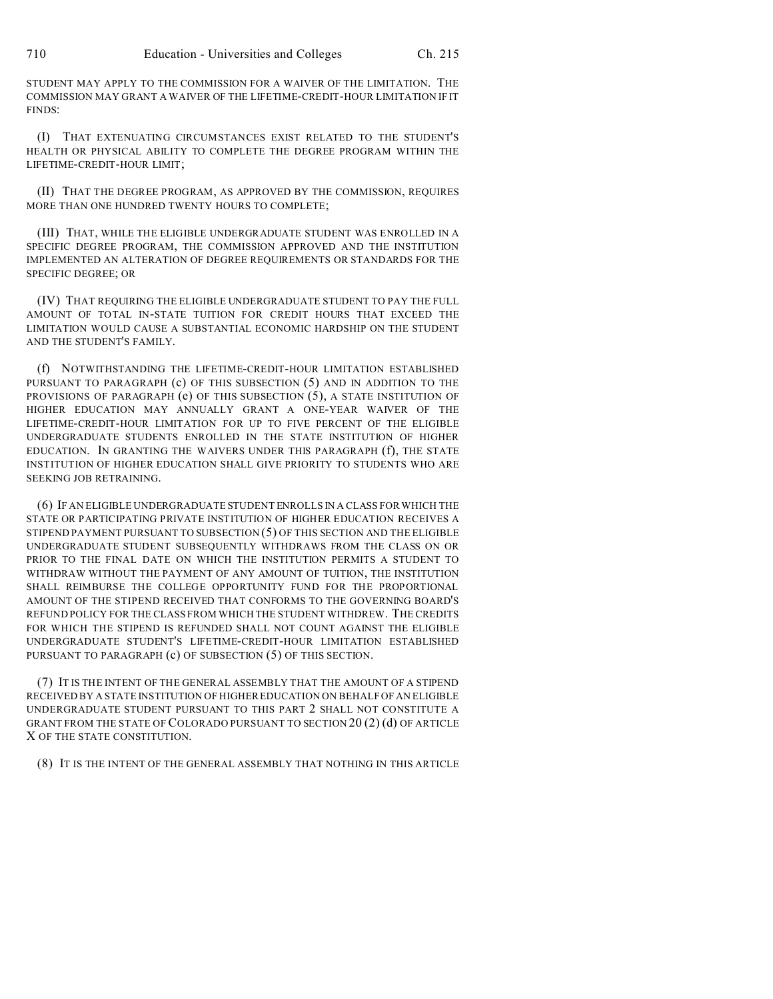STUDENT MAY APPLY TO THE COMMISSION FOR A WAIVER OF THE LIMITATION. THE COMMISSION MAY GRANT A WAIVER OF THE LIFETIME-CREDIT-HOUR LIMITATION IF IT FINDS:

(I) THAT EXTENUATING CIRCUMSTANCES EXIST RELATED TO THE STUDENT'S HEALTH OR PHYSICAL ABILITY TO COMPLETE THE DEGREE PROGRAM WITHIN THE LIFETIME-CREDIT-HOUR LIMIT;

(II) THAT THE DEGREE PROGRAM, AS APPROVED BY THE COMMISSION, REQUIRES MORE THAN ONE HUNDRED TWENTY HOURS TO COMPLETE;

(III) THAT, WHILE THE ELIGIBLE UNDERGRADUATE STUDENT WAS ENROLLED IN A SPECIFIC DEGREE PROGRAM, THE COMMISSION APPROVED AND THE INSTITUTION IMPLEMENTED AN ALTERATION OF DEGREE REQUIREMENTS OR STANDARDS FOR THE SPECIFIC DEGREE; OR

(IV) THAT REQUIRING THE ELIGIBLE UNDERGRADUATE STUDENT TO PAY THE FULL AMOUNT OF TOTAL IN-STATE TUITION FOR CREDIT HOURS THAT EXCEED THE LIMITATION WOULD CAUSE A SUBSTANTIAL ECONOMIC HARDSHIP ON THE STUDENT AND THE STUDENT'S FAMILY.

(f) NOTWITHSTANDING THE LIFETIME-CREDIT-HOUR LIMITATION ESTABLISHED PURSUANT TO PARAGRAPH (c) OF THIS SUBSECTION (5) AND IN ADDITION TO THE PROVISIONS OF PARAGRAPH (e) OF THIS SUBSECTION (5), A STATE INSTITUTION OF HIGHER EDUCATION MAY ANNUALLY GRANT A ONE-YEAR WAIVER OF THE LIFETIME-CREDIT-HOUR LIMITATION FOR UP TO FIVE PERCENT OF THE ELIGIBLE UNDERGRADUATE STUDENTS ENROLLED IN THE STATE INSTITUTION OF HIGHER EDUCATION. IN GRANTING THE WAIVERS UNDER THIS PARAGRAPH (f), THE STATE INSTITUTION OF HIGHER EDUCATION SHALL GIVE PRIORITY TO STUDENTS WHO ARE SEEKING JOB RETRAINING.

(6) IF AN ELIGIBLE UNDERGRADUATE STUDENT ENROLLS IN A CLASS FOR WHICH THE STATE OR PARTICIPATING PRIVATE INSTITUTION OF HIGHER EDUCATION RECEIVES A STIPEND PAYMENT PURSUANT TO SUBSECTION (5) OF THIS SECTION AND THE ELIGIBLE UNDERGRADUATE STUDENT SUBSEQUENTLY WITHDRAWS FROM THE CLASS ON OR PRIOR TO THE FINAL DATE ON WHICH THE INSTITUTION PERMITS A STUDENT TO WITHDRAW WITHOUT THE PAYMENT OF ANY AMOUNT OF TUITION, THE INSTITUTION SHALL REIMBURSE THE COLLEGE OPPORTUNITY FUND FOR THE PROPORTIONAL AMOUNT OF THE STIPEND RECEIVED THAT CONFORMS TO THE GOVERNING BOARD'S REFUND POLICY FOR THE CLASS FROM WHICH THE STUDENT WITHDREW. THE CREDITS FOR WHICH THE STIPEND IS REFUNDED SHALL NOT COUNT AGAINST THE ELIGIBLE UNDERGRADUATE STUDENT'S LIFETIME-CREDIT-HOUR LIMITATION ESTABLISHED PURSUANT TO PARAGRAPH (c) OF SUBSECTION (5) OF THIS SECTION.

(7) IT IS THE INTENT OF THE GENERAL ASSEMBLY THAT THE AMOUNT OF A STIPEND RECEIVED BY A STATE INSTITUTION OF HIGHER EDUCATION ON BEHALF OF AN ELIGIBLE UNDERGRADUATE STUDENT PURSUANT TO THIS PART 2 SHALL NOT CONSTITUTE A GRANT FROM THE STATE OF COLORADO PURSUANT TO SECTION 20 (2) (d) OF ARTICLE X OF THE STATE CONSTITUTION.

(8) IT IS THE INTENT OF THE GENERAL ASSEMBLY THAT NOTHING IN THIS ARTICLE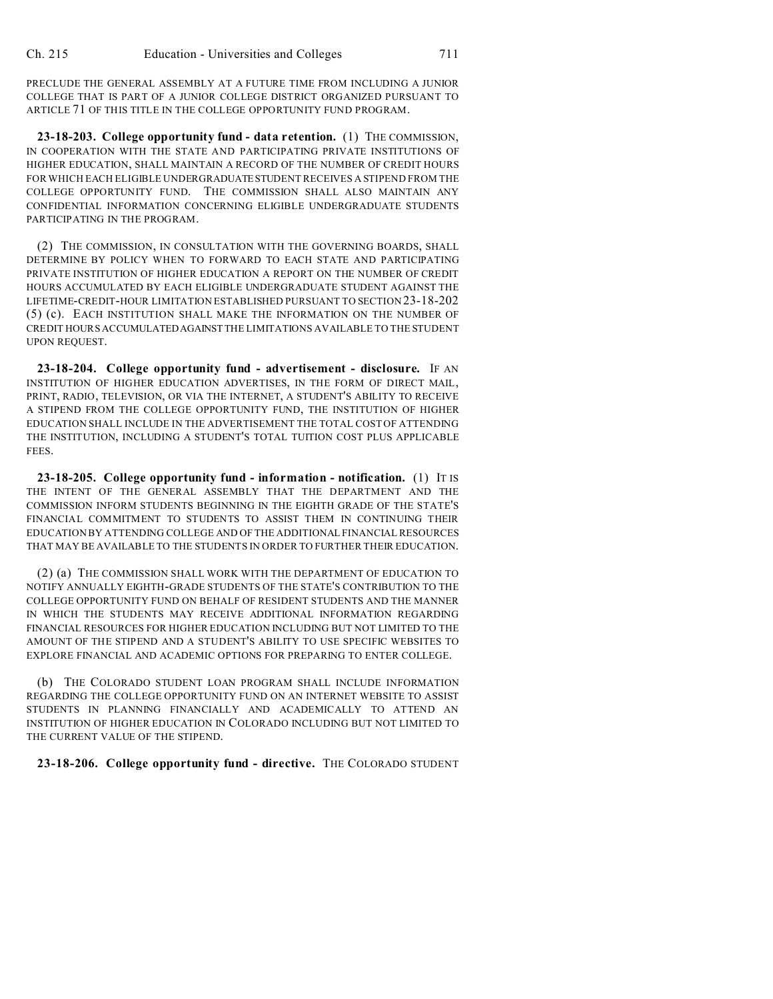PRECLUDE THE GENERAL ASSEMBLY AT A FUTURE TIME FROM INCLUDING A JUNIOR COLLEGE THAT IS PART OF A JUNIOR COLLEGE DISTRICT ORGANIZED PURSUANT TO ARTICLE 71 OF THIS TITLE IN THE COLLEGE OPPORTUNITY FUND PROGRAM.

**23-18-203. College opportunity fund - data retention.** (1) THE COMMISSION, IN COOPERATION WITH THE STATE AND PARTICIPATING PRIVATE INSTITUTIONS OF HIGHER EDUCATION, SHALL MAINTAIN A RECORD OF THE NUMBER OF CREDIT HOURS FOR WHICH EACH ELIGIBLE UNDERGRADUATESTUDENT RECEIVES A STIPEND FROM THE COLLEGE OPPORTUNITY FUND. THE COMMISSION SHALL ALSO MAINTAIN ANY CONFIDENTIAL INFORMATION CONCERNING ELIGIBLE UNDERGRADUATE STUDENTS PARTICIPATING IN THE PROGRAM.

(2) THE COMMISSION, IN CONSULTATION WITH THE GOVERNING BOARDS, SHALL DETERMINE BY POLICY WHEN TO FORWARD TO EACH STATE AND PARTICIPATING PRIVATE INSTITUTION OF HIGHER EDUCATION A REPORT ON THE NUMBER OF CREDIT HOURS ACCUMULATED BY EACH ELIGIBLE UNDERGRADUATE STUDENT AGAINST THE LIFETIME-CREDIT-HOUR LIMITATION ESTABLISHED PURSUANT TO SECTION 23-18-202 (5) (c). EACH INSTITUTION SHALL MAKE THE INFORMATION ON THE NUMBER OF CREDIT HOURS ACCUMULATEDAGAINSTTHE LIMITATIONS AVAILABLE TO THE STUDENT UPON REQUEST.

**23-18-204. College opportunity fund - advertisement - disclosure.** IF AN INSTITUTION OF HIGHER EDUCATION ADVERTISES, IN THE FORM OF DIRECT MAIL, PRINT, RADIO, TELEVISION, OR VIA THE INTERNET, A STUDENT'S ABILITY TO RECEIVE A STIPEND FROM THE COLLEGE OPPORTUNITY FUND, THE INSTITUTION OF HIGHER EDUCATION SHALL INCLUDE IN THE ADVERTISEMENT THE TOTAL COST OF ATTENDING THE INSTITUTION, INCLUDING A STUDENT'S TOTAL TUITION COST PLUS APPLICABLE FEES.

**23-18-205. College opportunity fund - information - notification.** (1) IT IS THE INTENT OF THE GENERAL ASSEMBLY THAT THE DEPARTMENT AND THE COMMISSION INFORM STUDENTS BEGINNING IN THE EIGHTH GRADE OF THE STATE'S FINANCIAL COMMITMENT TO STUDENTS TO ASSIST THEM IN CONTINUING THEIR EDUCATION BY ATTENDING COLLEGE AND OF THE ADDITIONAL FINANCIAL RESOURCES THAT MAY BE AVAILABLE TO THE STUDENTS IN ORDER TO FURTHER THEIR EDUCATION.

(2) (a) THE COMMISSION SHALL WORK WITH THE DEPARTMENT OF EDUCATION TO NOTIFY ANNUALLY EIGHTH-GRADE STUDENTS OF THE STATE'S CONTRIBUTION TO THE COLLEGE OPPORTUNITY FUND ON BEHALF OF RESIDENT STUDENTS AND THE MANNER IN WHICH THE STUDENTS MAY RECEIVE ADDITIONAL INFORMATION REGARDING FINANCIAL RESOURCES FOR HIGHER EDUCATION INCLUDING BUT NOT LIMITED TO THE AMOUNT OF THE STIPEND AND A STUDENT'S ABILITY TO USE SPECIFIC WEBSITES TO EXPLORE FINANCIAL AND ACADEMIC OPTIONS FOR PREPARING TO ENTER COLLEGE.

(b) THE COLORADO STUDENT LOAN PROGRAM SHALL INCLUDE INFORMATION REGARDING THE COLLEGE OPPORTUNITY FUND ON AN INTERNET WEBSITE TO ASSIST STUDENTS IN PLANNING FINANCIALLY AND ACADEMICALLY TO ATTEND AN INSTITUTION OF HIGHER EDUCATION IN COLORADO INCLUDING BUT NOT LIMITED TO THE CURRENT VALUE OF THE STIPEND.

**23-18-206. College opportunity fund - directive.** THE COLORADO STUDENT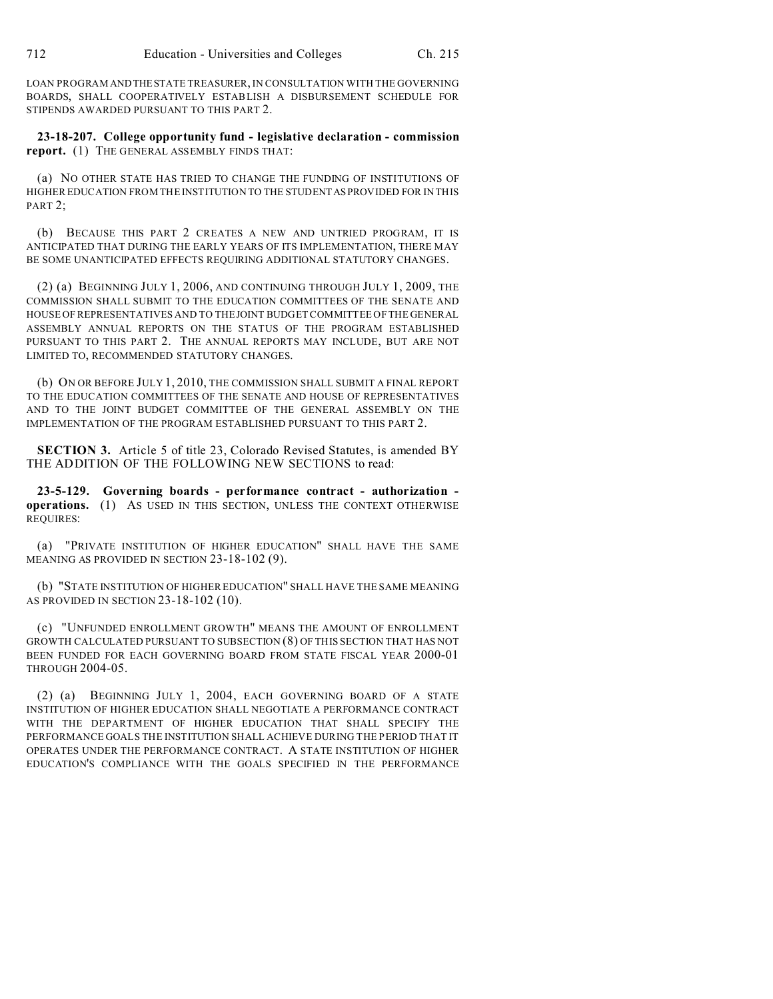LOAN PROGRAM ANDTHESTATE TREASURER, IN CONSULTATION WITH THE GOVERNING BOARDS, SHALL COOPERATIVELY ESTABLISH A DISBURSEMENT SCHEDULE FOR STIPENDS AWARDED PURSUANT TO THIS PART 2.

**23-18-207. College opportunity fund - legislative declaration - commission report.** (1) THE GENERAL ASSEMBLY FINDS THAT:

(a) NO OTHER STATE HAS TRIED TO CHANGE THE FUNDING OF INSTITUTIONS OF HIGHER EDUCATION FROM THE INSTITUTION TO THE STUDENTASPROVIDED FOR IN THIS PART 2;

(b) BECAUSE THIS PART 2 CREATES A NEW AND UNTRIED PROGRAM, IT IS ANTICIPATED THAT DURING THE EARLY YEARS OF ITS IMPLEMENTATION, THERE MAY BE SOME UNANTICIPATED EFFECTS REQUIRING ADDITIONAL STATUTORY CHANGES.

(2) (a) BEGINNING JULY 1, 2006, AND CONTINUING THROUGH JULY 1, 2009, THE COMMISSION SHALL SUBMIT TO THE EDUCATION COMMITTEES OF THE SENATE AND HOUSE OF REPRESENTATIVES AND TO THE JOINT BUDGET COMMITTEE OF THE GENERAL ASSEMBLY ANNUAL REPORTS ON THE STATUS OF THE PROGRAM ESTABLISHED PURSUANT TO THIS PART 2. THE ANNUAL REPORTS MAY INCLUDE, BUT ARE NOT LIMITED TO, RECOMMENDED STATUTORY CHANGES.

(b) ON OR BEFORE JULY 1, 2010, THE COMMISSION SHALL SUBMIT A FINAL REPORT TO THE EDUCATION COMMITTEES OF THE SENATE AND HOUSE OF REPRESENTATIVES AND TO THE JOINT BUDGET COMMITTEE OF THE GENERAL ASSEMBLY ON THE IMPLEMENTATION OF THE PROGRAM ESTABLISHED PURSUANT TO THIS PART 2.

**SECTION 3.** Article 5 of title 23, Colorado Revised Statutes, is amended BY THE ADDITION OF THE FOLLOWING NEW SECTIONS to read:

**23-5-129. Governing boards - performance contract - authorization operations.** (1) AS USED IN THIS SECTION, UNLESS THE CONTEXT OTHERWISE REQUIRES:

(a) "PRIVATE INSTITUTION OF HIGHER EDUCATION" SHALL HAVE THE SAME MEANING AS PROVIDED IN SECTION 23-18-102 (9).

(b) "STATE INSTITUTION OF HIGHER EDUCATION" SHALL HAVE THE SAME MEANING AS PROVIDED IN SECTION 23-18-102 (10).

(c) "UNFUNDED ENROLLMENT GROWTH" MEANS THE AMOUNT OF ENROLLMENT GROWTH CALCULATED PURSUANT TO SUBSECTION (8) OF THIS SECTION THAT HAS NOT BEEN FUNDED FOR EACH GOVERNING BOARD FROM STATE FISCAL YEAR 2000-01 THROUGH 2004-05.

(2) (a) BEGINNING JULY 1, 2004, EACH GOVERNING BOARD OF A STATE INSTITUTION OF HIGHER EDUCATION SHALL NEGOTIATE A PERFORMANCE CONTRACT WITH THE DEPARTMENT OF HIGHER EDUCATION THAT SHALL SPECIFY THE PERFORMANCE GOALS THE INSTITUTION SHALL ACHIEVE DURING THE PERIOD THAT IT OPERATES UNDER THE PERFORMANCE CONTRACT. A STATE INSTITUTION OF HIGHER EDUCATION'S COMPLIANCE WITH THE GOALS SPECIFIED IN THE PERFORMANCE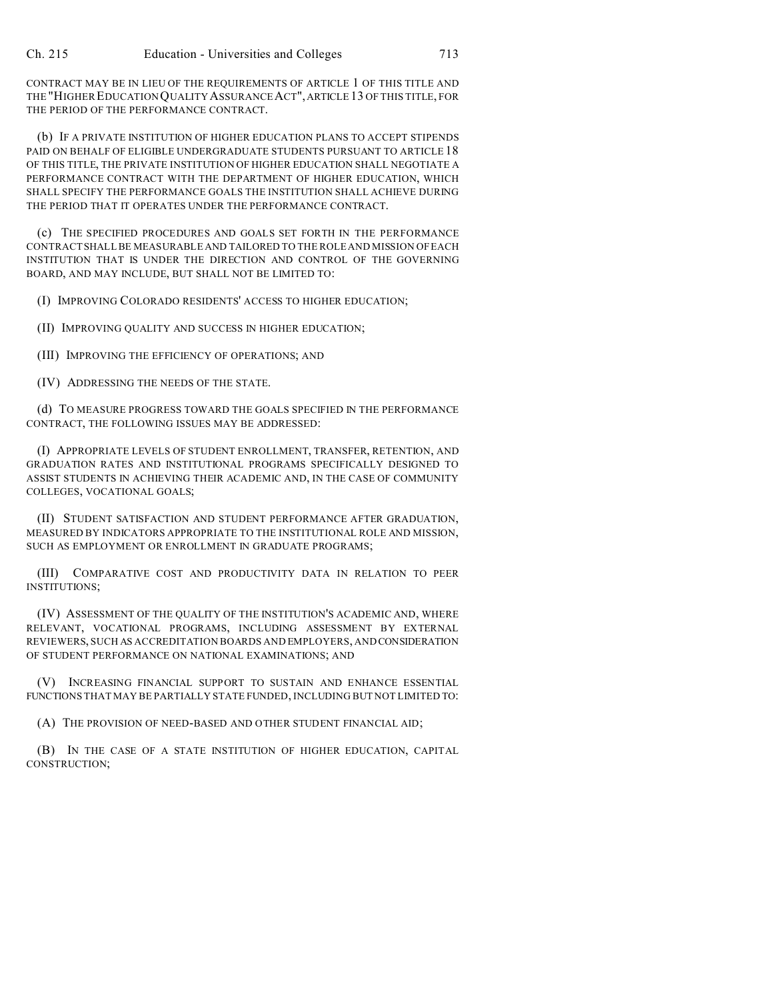CONTRACT MAY BE IN LIEU OF THE REQUIREMENTS OF ARTICLE 1 OF THIS TITLE AND THE "HIGHER EDUCATION QUALITY ASSURANCE ACT",ARTICLE 13 OF THIS TITLE, FOR THE PERIOD OF THE PERFORMANCE CONTRACT.

(b) IF A PRIVATE INSTITUTION OF HIGHER EDUCATION PLANS TO ACCEPT STIPENDS PAID ON BEHALF OF ELIGIBLE UNDERGRADUATE STUDENTS PURSUANT TO ARTICLE 18 OF THIS TITLE, THE PRIVATE INSTITUTION OF HIGHER EDUCATION SHALL NEGOTIATE A PERFORMANCE CONTRACT WITH THE DEPARTMENT OF HIGHER EDUCATION, WHICH SHALL SPECIFY THE PERFORMANCE GOALS THE INSTITUTION SHALL ACHIEVE DURING THE PERIOD THAT IT OPERATES UNDER THE PERFORMANCE CONTRACT.

(c) THE SPECIFIED PROCEDURES AND GOALS SET FORTH IN THE PERFORMANCE CONTRACT SHALL BE MEASURABLE AND TAILORED TO THE ROLE AND MISSION OF EACH INSTITUTION THAT IS UNDER THE DIRECTION AND CONTROL OF THE GOVERNING BOARD, AND MAY INCLUDE, BUT SHALL NOT BE LIMITED TO:

(I) IMPROVING COLORADO RESIDENTS' ACCESS TO HIGHER EDUCATION;

(II) IMPROVING QUALITY AND SUCCESS IN HIGHER EDUCATION;

(III) IMPROVING THE EFFICIENCY OF OPERATIONS; AND

(IV) ADDRESSING THE NEEDS OF THE STATE.

(d) TO MEASURE PROGRESS TOWARD THE GOALS SPECIFIED IN THE PERFORMANCE CONTRACT, THE FOLLOWING ISSUES MAY BE ADDRESSED:

(I) APPROPRIATE LEVELS OF STUDENT ENROLLMENT, TRANSFER, RETENTION, AND GRADUATION RATES AND INSTITUTIONAL PROGRAMS SPECIFICALLY DESIGNED TO ASSIST STUDENTS IN ACHIEVING THEIR ACADEMIC AND, IN THE CASE OF COMMUNITY COLLEGES, VOCATIONAL GOALS;

(II) STUDENT SATISFACTION AND STUDENT PERFORMANCE AFTER GRADUATION, MEASURED BY INDICATORS APPROPRIATE TO THE INSTITUTIONAL ROLE AND MISSION, SUCH AS EMPLOYMENT OR ENROLLMENT IN GRADUATE PROGRAMS;

(III) COMPARATIVE COST AND PRODUCTIVITY DATA IN RELATION TO PEER INSTITUTIONS;

(IV) ASSESSMENT OF THE QUALITY OF THE INSTITUTION'S ACADEMIC AND, WHERE RELEVANT, VOCATIONAL PROGRAMS, INCLUDING ASSESSMENT BY EXTERNAL REVIEWERS, SUCH AS ACCREDITATION BOARDS AND EMPLOYERS, AND CONSIDERATION OF STUDENT PERFORMANCE ON NATIONAL EXAMINATIONS; AND

(V) INCREASING FINANCIAL SUPPORT TO SUSTAIN AND ENHANCE ESSENTIAL FUNCTIONS THAT MAY BE PARTIALLY STATE FUNDED, INCLUDING BUT NOT LIMITED TO:

(A) THE PROVISION OF NEED-BASED AND OTHER STUDENT FINANCIAL AID;

(B) IN THE CASE OF A STATE INSTITUTION OF HIGHER EDUCATION, CAPITAL CONSTRUCTION;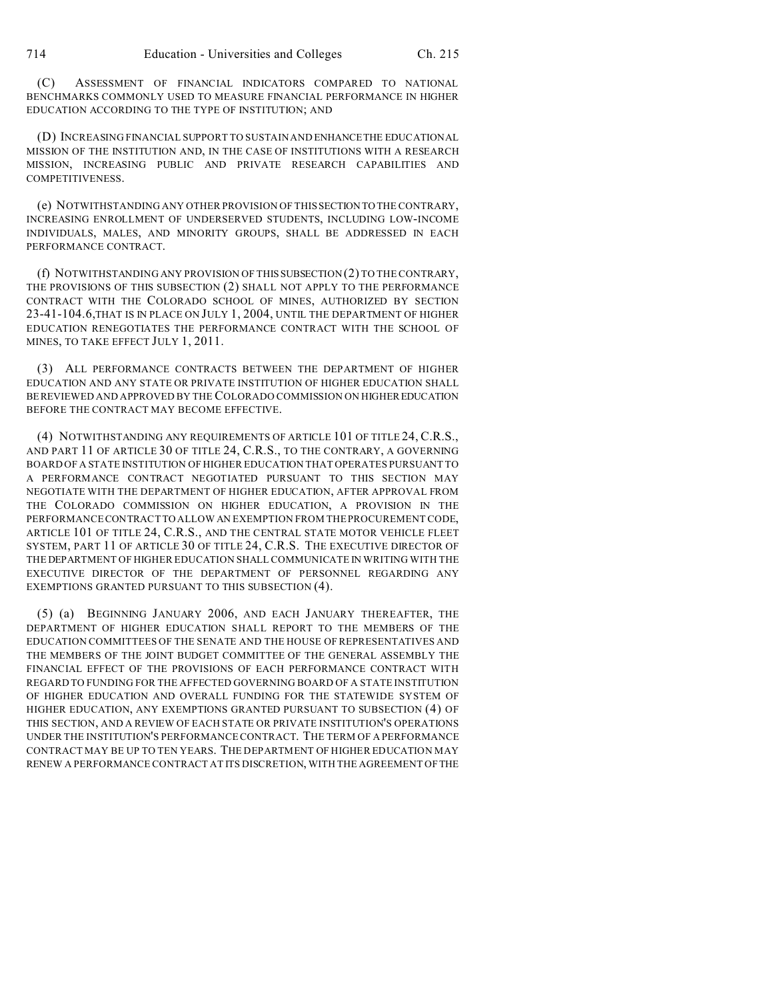(C) ASSESSMENT OF FINANCIAL INDICATORS COMPARED TO NATIONAL BENCHMARKS COMMONLY USED TO MEASURE FINANCIAL PERFORMANCE IN HIGHER EDUCATION ACCORDING TO THE TYPE OF INSTITUTION; AND

(D) INCREASING FINANCIAL SUPPORT TO SUSTAIN AND ENHANCE THE EDUCATIONAL MISSION OF THE INSTITUTION AND, IN THE CASE OF INSTITUTIONS WITH A RESEARCH MISSION, INCREASING PUBLIC AND PRIVATE RESEARCH CAPABILITIES AND COMPETITIVENESS.

(e) NOTWITHSTANDING ANY OTHER PROVISION OF THIS SECTION TO THE CONTRARY, INCREASING ENROLLMENT OF UNDERSERVED STUDENTS, INCLUDING LOW-INCOME INDIVIDUALS, MALES, AND MINORITY GROUPS, SHALL BE ADDRESSED IN EACH PERFORMANCE CONTRACT.

(f) NOTWITHSTANDING ANY PROVISION OF THISSUBSECTION (2) TO THE CONTRARY, THE PROVISIONS OF THIS SUBSECTION (2) SHALL NOT APPLY TO THE PERFORMANCE CONTRACT WITH THE COLORADO SCHOOL OF MINES, AUTHORIZED BY SECTION 23-41-104.6,THAT IS IN PLACE ON JULY 1, 2004, UNTIL THE DEPARTMENT OF HIGHER EDUCATION RENEGOTIATES THE PERFORMANCE CONTRACT WITH THE SCHOOL OF MINES, TO TAKE EFFECT JULY 1, 2011.

(3) ALL PERFORMANCE CONTRACTS BETWEEN THE DEPARTMENT OF HIGHER EDUCATION AND ANY STATE OR PRIVATE INSTITUTION OF HIGHER EDUCATION SHALL BEREVIEWED AND APPROVED BY THE COLORADO COMMISSION ON HIGHEREDUCATION BEFORE THE CONTRACT MAY BECOME EFFECTIVE.

(4) NOTWITHSTANDING ANY REQUIREMENTS OF ARTICLE 101 OF TITLE 24, C.R.S., AND PART 11 OF ARTICLE 30 OF TITLE 24, C.R.S., TO THE CONTRARY, A GOVERNING BOARD OF A STATE INSTITUTION OF HIGHER EDUCATION THAT OPERATES PURSUANT TO A PERFORMANCE CONTRACT NEGOTIATED PURSUANT TO THIS SECTION MAY NEGOTIATE WITH THE DEPARTMENT OF HIGHER EDUCATION, AFTER APPROVAL FROM THE COLORADO COMMISSION ON HIGHER EDUCATION, A PROVISION IN THE PERFORMANCE CONTRACTTO ALLOW AN EXEMPTION FROM THE PROCUREMENT CODE, ARTICLE 101 OF TITLE 24, C.R.S., AND THE CENTRAL STATE MOTOR VEHICLE FLEET SYSTEM, PART 11 OF ARTICLE 30 OF TITLE 24, C.R.S. THE EXECUTIVE DIRECTOR OF THE DEPARTMENT OF HIGHER EDUCATION SHALL COMMUNICATE IN WRITING WITH THE EXECUTIVE DIRECTOR OF THE DEPARTMENT OF PERSONNEL REGARDING ANY EXEMPTIONS GRANTED PURSUANT TO THIS SUBSECTION (4).

(5) (a) BEGINNING JANUARY 2006, AND EACH JANUARY THEREAFTER, THE DEPARTMENT OF HIGHER EDUCATION SHALL REPORT TO THE MEMBERS OF THE EDUCATION COMMITTEES OF THE SENATE AND THE HOUSE OF REPRESENTATIVES AND THE MEMBERS OF THE JOINT BUDGET COMMITTEE OF THE GENERAL ASSEMBLY THE FINANCIAL EFFECT OF THE PROVISIONS OF EACH PERFORMANCE CONTRACT WITH REGARD TO FUNDING FOR THE AFFECTED GOVERNING BOARD OF A STATE INSTITUTION OF HIGHER EDUCATION AND OVERALL FUNDING FOR THE STATEWIDE SYSTEM OF HIGHER EDUCATION, ANY EXEMPTIONS GRANTED PURSUANT TO SUBSECTION (4) OF THIS SECTION, AND A REVIEW OF EACH STATE OR PRIVATE INSTITUTION'S OPERATIONS UNDER THE INSTITUTION'S PERFORMANCE CONTRACT. THE TERM OF A PERFORMANCE CONTRACT MAY BE UP TO TEN YEARS. THE DEPARTMENT OF HIGHER EDUCATION MAY RENEW A PERFORMANCE CONTRACT AT ITS DISCRETION, WITH THE AGREEMENT OFTHE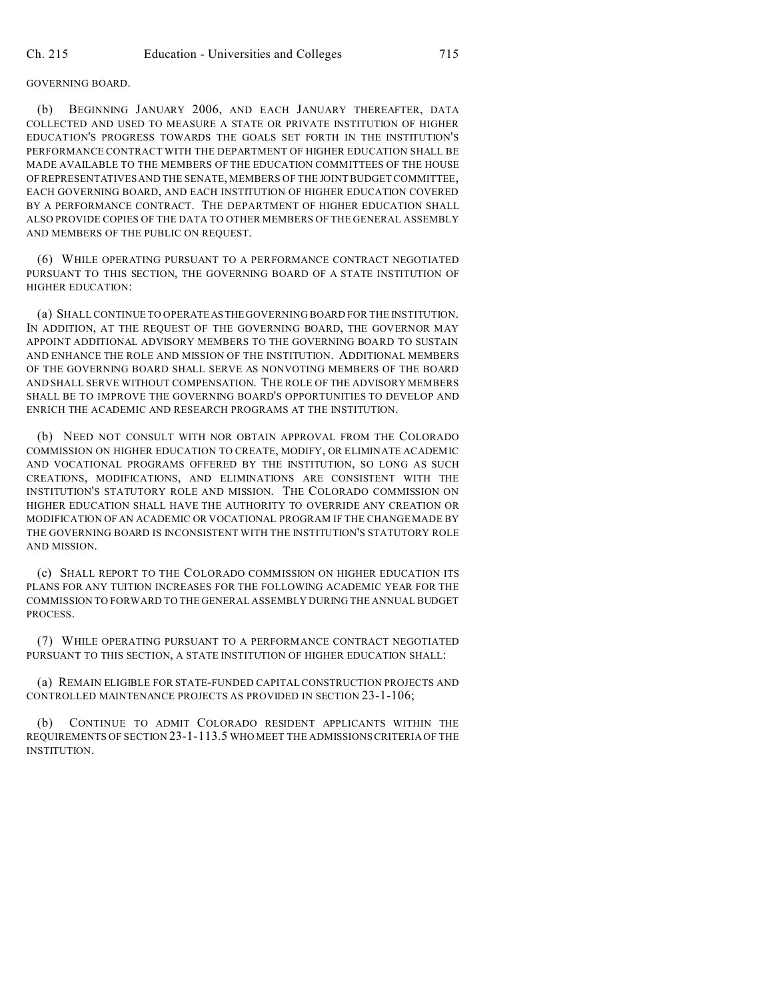#### GOVERNING BOARD.

(b) BEGINNING JANUARY 2006, AND EACH JANUARY THEREAFTER, DATA COLLECTED AND USED TO MEASURE A STATE OR PRIVATE INSTITUTION OF HIGHER EDUCATION'S PROGRESS TOWARDS THE GOALS SET FORTH IN THE INSTITUTION'S PERFORMANCE CONTRACT WITH THE DEPARTMENT OF HIGHER EDUCATION SHALL BE MADE AVAILABLE TO THE MEMBERS OF THE EDUCATION COMMITTEES OF THE HOUSE OF REPRESENTATIVES AND THE SENATE, MEMBERS OF THE JOINT BUDGET COMMITTEE, EACH GOVERNING BOARD, AND EACH INSTITUTION OF HIGHER EDUCATION COVERED BY A PERFORMANCE CONTRACT. THE DEPARTMENT OF HIGHER EDUCATION SHALL ALSO PROVIDE COPIES OF THE DATA TO OTHER MEMBERS OF THE GENERAL ASSEMBLY AND MEMBERS OF THE PUBLIC ON REQUEST.

(6) WHILE OPERATING PURSUANT TO A PERFORMANCE CONTRACT NEGOTIATED PURSUANT TO THIS SECTION, THE GOVERNING BOARD OF A STATE INSTITUTION OF HIGHER EDUCATION:

(a) SHALL CONTINUE TO OPERATEASTHE GOVERNING BOARD FOR THE INSTITUTION. IN ADDITION, AT THE REQUEST OF THE GOVERNING BOARD, THE GOVERNOR MAY APPOINT ADDITIONAL ADVISORY MEMBERS TO THE GOVERNING BOARD TO SUSTAIN AND ENHANCE THE ROLE AND MISSION OF THE INSTITUTION. ADDITIONAL MEMBERS OF THE GOVERNING BOARD SHALL SERVE AS NONVOTING MEMBERS OF THE BOARD AND SHALL SERVE WITHOUT COMPENSATION. THE ROLE OF THE ADVISORY MEMBERS SHALL BE TO IMPROVE THE GOVERNING BOARD'S OPPORTUNITIES TO DEVELOP AND ENRICH THE ACADEMIC AND RESEARCH PROGRAMS AT THE INSTITUTION.

(b) NEED NOT CONSULT WITH NOR OBTAIN APPROVAL FROM THE COLORADO COMMISSION ON HIGHER EDUCATION TO CREATE, MODIFY, OR ELIMINATE ACADEMIC AND VOCATIONAL PROGRAMS OFFERED BY THE INSTITUTION, SO LONG AS SUCH CREATIONS, MODIFICATIONS, AND ELIMINATIONS ARE CONSISTENT WITH THE INSTITUTION'S STATUTORY ROLE AND MISSION. THE COLORADO COMMISSION ON HIGHER EDUCATION SHALL HAVE THE AUTHORITY TO OVERRIDE ANY CREATION OR MODIFICATION OF AN ACADEMIC OR VOCATIONAL PROGRAM IF THE CHANGE MADE BY THE GOVERNING BOARD IS INCONSISTENT WITH THE INSTITUTION'S STATUTORY ROLE AND MISSION.

(c) SHALL REPORT TO THE COLORADO COMMISSION ON HIGHER EDUCATION ITS PLANS FOR ANY TUITION INCREASES FOR THE FOLLOWING ACADEMIC YEAR FOR THE COMMISSION TO FORWARD TO THE GENERAL ASSEMBLY DURING THE ANNUAL BUDGET PROCESS.

(7) WHILE OPERATING PURSUANT TO A PERFORMANCE CONTRACT NEGOTIATED PURSUANT TO THIS SECTION, A STATE INSTITUTION OF HIGHER EDUCATION SHALL:

(a) REMAIN ELIGIBLE FOR STATE-FUNDED CAPITAL CONSTRUCTION PROJECTS AND CONTROLLED MAINTENANCE PROJECTS AS PROVIDED IN SECTION 23-1-106;

(b) CONTINUE TO ADMIT COLORADO RESIDENT APPLICANTS WITHIN THE REQUIREMENTS OF SECTION 23-1-113.5 WHO MEET THE ADMISSIONS CRITERIA OF THE INSTITUTION.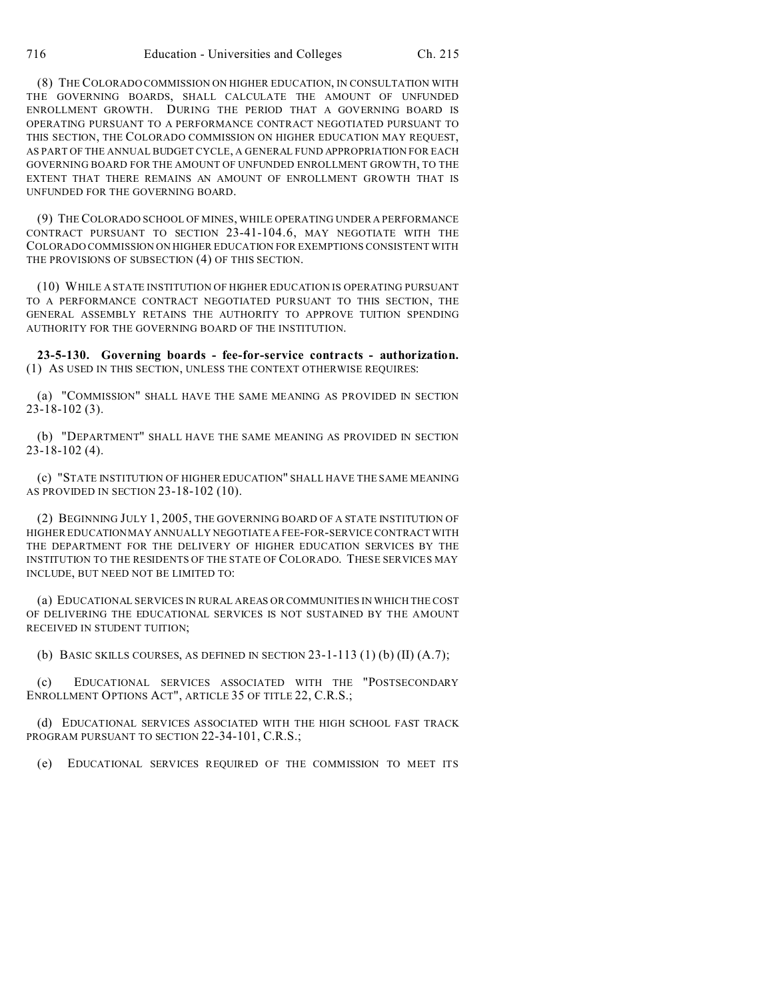(8) THE COLORADO COMMISSION ON HIGHER EDUCATION, IN CONSULTATION WITH THE GOVERNING BOARDS, SHALL CALCULATE THE AMOUNT OF UNFUNDED ENROLLMENT GROWTH. DURING THE PERIOD THAT A GOVERNING BOARD IS OPERATING PURSUANT TO A PERFORMANCE CONTRACT NEGOTIATED PURSUANT TO THIS SECTION, THE COLORADO COMMISSION ON HIGHER EDUCATION MAY REQUEST, AS PART OF THE ANNUAL BUDGET CYCLE, A GENERAL FUND APPROPRIATION FOR EACH GOVERNING BOARD FOR THE AMOUNT OF UNFUNDED ENROLLMENT GROWTH, TO THE

(9) THE COLORADO SCHOOL OF MINES, WHILE OPERATING UNDER A PERFORMANCE CONTRACT PURSUANT TO SECTION 23-41-104.6, MAY NEGOTIATE WITH THE COLORADO COMMISSION ON HIGHER EDUCATION FOR EXEMPTIONS CONSISTENT WITH THE PROVISIONS OF SUBSECTION (4) OF THIS SECTION.

EXTENT THAT THERE REMAINS AN AMOUNT OF ENROLLMENT GROWTH THAT IS

UNFUNDED FOR THE GOVERNING BOARD.

(10) WHILE A STATE INSTITUTION OF HIGHER EDUCATION IS OPERATING PURSUANT TO A PERFORMANCE CONTRACT NEGOTIATED PURSUANT TO THIS SECTION, THE GENERAL ASSEMBLY RETAINS THE AUTHORITY TO APPROVE TUITION SPENDING AUTHORITY FOR THE GOVERNING BOARD OF THE INSTITUTION.

**23-5-130. Governing boards - fee-for-service contracts - authorization.** (1) AS USED IN THIS SECTION, UNLESS THE CONTEXT OTHERWISE REQUIRES:

(a) "COMMISSION" SHALL HAVE THE SAME MEANING AS PROVIDED IN SECTION 23-18-102 (3).

(b) "DEPARTMENT" SHALL HAVE THE SAME MEANING AS PROVIDED IN SECTION 23-18-102 (4).

(c) "STATE INSTITUTION OF HIGHER EDUCATION" SHALL HAVE THE SAME MEANING AS PROVIDED IN SECTION 23-18-102 (10).

(2) BEGINNING JULY 1, 2005, THE GOVERNING BOARD OF A STATE INSTITUTION OF HIGHER EDUCATION MAY ANNUALLY NEGOTIATE A FEE-FOR-SERVICE CONTRACT WITH THE DEPARTMENT FOR THE DELIVERY OF HIGHER EDUCATION SERVICES BY THE INSTITUTION TO THE RESIDENTS OF THE STATE OF COLORADO. THESE SERVICES MAY INCLUDE, BUT NEED NOT BE LIMITED TO:

(a) EDUCATIONAL SERVICES IN RURAL AREAS OR COMMUNITIES IN WHICH THE COST OF DELIVERING THE EDUCATIONAL SERVICES IS NOT SUSTAINED BY THE AMOUNT RECEIVED IN STUDENT TUITION;

(b) BASIC SKILLS COURSES, AS DEFINED IN SECTION  $23-1-113$  (1) (b) (II) (A.7);

(c) EDUCATIONAL SERVICES ASSOCIATED WITH THE "POSTSECONDARY ENROLLMENT OPTIONS ACT", ARTICLE 35 OF TITLE 22, C.R.S.;

(d) EDUCATIONAL SERVICES ASSOCIATED WITH THE HIGH SCHOOL FAST TRACK PROGRAM PURSUANT TO SECTION 22-34-101, C.R.S.;

(e) EDUCATIONAL SERVICES REQUIRED OF THE COMMISSION TO MEET ITS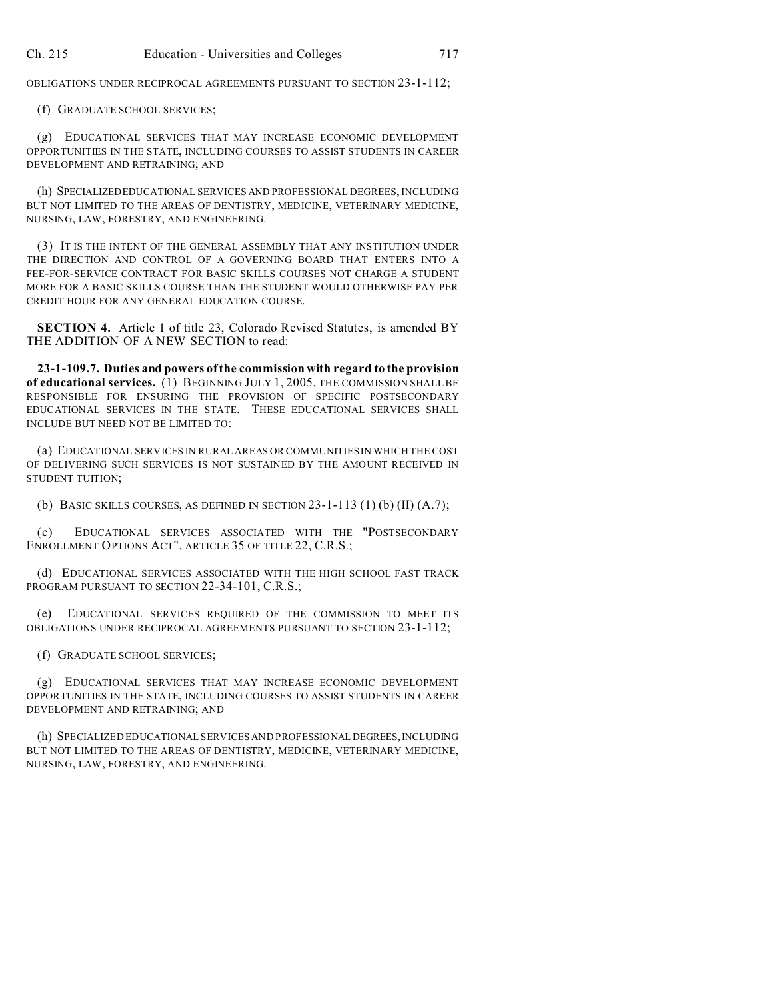OBLIGATIONS UNDER RECIPROCAL AGREEMENTS PURSUANT TO SECTION 23-1-112;

(f) GRADUATE SCHOOL SERVICES;

(g) EDUCATIONAL SERVICES THAT MAY INCREASE ECONOMIC DEVELOPMENT OPPORTUNITIES IN THE STATE, INCLUDING COURSES TO ASSIST STUDENTS IN CAREER DEVELOPMENT AND RETRAINING; AND

(h) SPECIALIZEDEDUCATIONAL SERVICES AND PROFESSIONAL DEGREES, INCLUDING BUT NOT LIMITED TO THE AREAS OF DENTISTRY, MEDICINE, VETERINARY MEDICINE, NURSING, LAW, FORESTRY, AND ENGINEERING.

(3) IT IS THE INTENT OF THE GENERAL ASSEMBLY THAT ANY INSTITUTION UNDER THE DIRECTION AND CONTROL OF A GOVERNING BOARD THAT ENTERS INTO A FEE-FOR-SERVICE CONTRACT FOR BASIC SKILLS COURSES NOT CHARGE A STUDENT MORE FOR A BASIC SKILLS COURSE THAN THE STUDENT WOULD OTHERWISE PAY PER CREDIT HOUR FOR ANY GENERAL EDUCATION COURSE.

**SECTION 4.** Article 1 of title 23, Colorado Revised Statutes, is amended BY THE ADDITION OF A NEW SECTION to read:

**23-1-109.7. Duties and powers of the commission with regard to the provision of educational services.** (1) BEGINNING JULY 1, 2005, THE COMMISSION SHALL BE RESPONSIBLE FOR ENSURING THE PROVISION OF SPECIFIC POSTSECONDARY EDUCATIONAL SERVICES IN THE STATE. THESE EDUCATIONAL SERVICES SHALL INCLUDE BUT NEED NOT BE LIMITED TO:

(a) EDUCATIONAL SERVICES IN RURAL AREAS OR COMMUNITIES IN WHICH THE COST OF DELIVERING SUCH SERVICES IS NOT SUSTAINED BY THE AMOUNT RECEIVED IN STUDENT TUITION;

(b) BASIC SKILLS COURSES, AS DEFINED IN SECTION 23-1-113 (1) (b) (II) (A.7);

(c) EDUCATIONAL SERVICES ASSOCIATED WITH THE "POSTSECONDARY ENROLLMENT OPTIONS ACT", ARTICLE 35 OF TITLE 22, C.R.S.;

(d) EDUCATIONAL SERVICES ASSOCIATED WITH THE HIGH SCHOOL FAST TRACK PROGRAM PURSUANT TO SECTION 22-34-101, C.R.S.;

(e) EDUCATIONAL SERVICES REQUIRED OF THE COMMISSION TO MEET ITS OBLIGATIONS UNDER RECIPROCAL AGREEMENTS PURSUANT TO SECTION 23-1-112;

(f) GRADUATE SCHOOL SERVICES;

(g) EDUCATIONAL SERVICES THAT MAY INCREASE ECONOMIC DEVELOPMENT OPPORTUNITIES IN THE STATE, INCLUDING COURSES TO ASSIST STUDENTS IN CAREER DEVELOPMENT AND RETRAINING; AND

(h) SPECIALIZED EDUCATIONAL SERVICES AND PROFESSIONAL DEGREES, INCLUDING BUT NOT LIMITED TO THE AREAS OF DENTISTRY, MEDICINE, VETERINARY MEDICINE, NURSING, LAW, FORESTRY, AND ENGINEERING.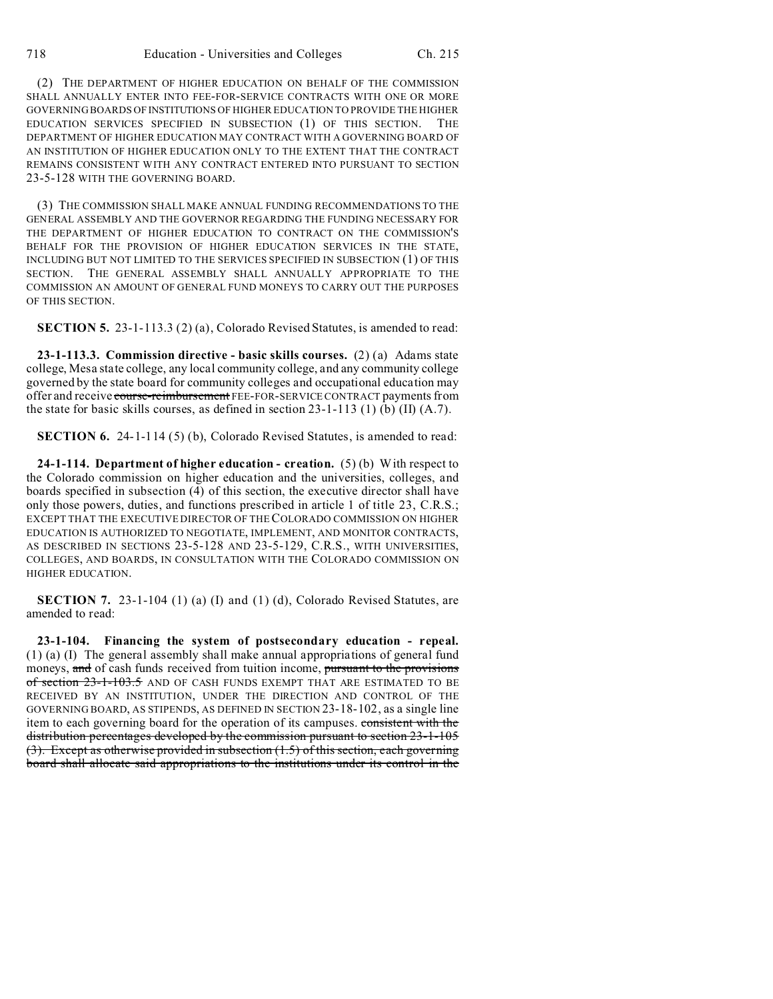(2) THE DEPARTMENT OF HIGHER EDUCATION ON BEHALF OF THE COMMISSION SHALL ANNUALLY ENTER INTO FEE-FOR-SERVICE CONTRACTS WITH ONE OR MORE GOVERNING BOARDS OF INSTITUTIONS OF HIGHER EDUCATION TO PROVIDE THE HIGHER EDUCATION SERVICES SPECIFIED IN SUBSECTION (1) OF THIS SECTION. THE DEPARTMENT OF HIGHER EDUCATION MAY CONTRACT WITH A GOVERNING BOARD OF AN INSTITUTION OF HIGHER EDUCATION ONLY TO THE EXTENT THAT THE CONTRACT REMAINS CONSISTENT WITH ANY CONTRACT ENTERED INTO PURSUANT TO SECTION 23-5-128 WITH THE GOVERNING BOARD.

(3) THE COMMISSION SHALL MAKE ANNUAL FUNDING RECOMMENDATIONS TO THE GENERAL ASSEMBLY AND THE GOVERNOR REGARDING THE FUNDING NECESSARY FOR THE DEPARTMENT OF HIGHER EDUCATION TO CONTRACT ON THE COMMISSION'S BEHALF FOR THE PROVISION OF HIGHER EDUCATION SERVICES IN THE STATE, INCLUDING BUT NOT LIMITED TO THE SERVICES SPECIFIED IN SUBSECTION (1) OF THIS SECTION. THE GENERAL ASSEMBLY SHALL ANNUALLY APPROPRIATE TO THE COMMISSION AN AMOUNT OF GENERAL FUND MONEYS TO CARRY OUT THE PURPOSES OF THIS SECTION.

**SECTION 5.** 23-1-113.3 (2) (a), Colorado Revised Statutes, is amended to read:

**23-1-113.3. Commission directive - basic skills courses.** (2) (a) Adams state college, Mesa state college, any local community college, and any community college governed by the state board for community colleges and occupational education may offer and receive course-reimbursement FEE-FOR-SERVICE CONTRACT payments from the state for basic skills courses, as defined in section 23-1-113 (1) (b) (II) (A.7).

**SECTION 6.** 24-1-114 (5) (b), Colorado Revised Statutes, is amended to read:

**24-1-114. Department of higher education - creation.** (5) (b) With respect to the Colorado commission on higher education and the universities, colleges, and boards specified in subsection (4) of this section, the executive director shall have only those powers, duties, and functions prescribed in article 1 of title 23, C.R.S.; EXCEPT THAT THE EXECUTIVE DIRECTOR OF THECOLORADO COMMISSION ON HIGHER EDUCATION IS AUTHORIZED TO NEGOTIATE, IMPLEMENT, AND MONITOR CONTRACTS, AS DESCRIBED IN SECTIONS 23-5-128 AND 23-5-129, C.R.S., WITH UNIVERSITIES, COLLEGES, AND BOARDS, IN CONSULTATION WITH THE COLORADO COMMISSION ON HIGHER EDUCATION.

**SECTION 7.** 23-1-104 (1) (a) (I) and (1) (d), Colorado Revised Statutes, are amended to read:

**23-1-104. Financing the system of postsecondary education - repeal.** (1) (a) (I) The general assembly shall make annual appropriations of general fund moneys, and of cash funds received from tuition income, pursuant to the provisions of section 23-1-103.5 AND OF CASH FUNDS EXEMPT THAT ARE ESTIMATED TO BE RECEIVED BY AN INSTITUTION, UNDER THE DIRECTION AND CONTROL OF THE GOVERNING BOARD, AS STIPENDS, AS DEFINED IN SECTION 23-18-102, as a single line item to each governing board for the operation of its campuses. consistent with the distribution percentages developed by the commission pursuant to section 23-1-105 (3). Except as otherwise provided in subsection (1.5) of this section, each governing board shall allocate said appropriations to the institutions under its control in the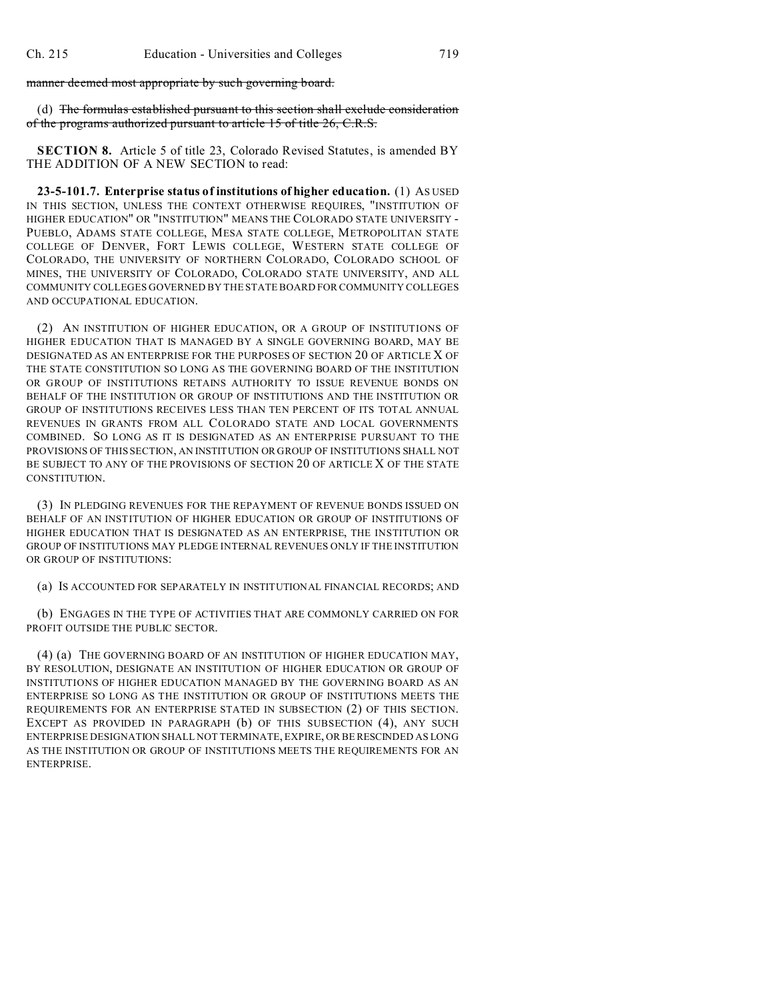manner deemed most appropriate by such governing board.

(d) The formulas established pursuant to this section shall exclude consideration of the programs authorized pursuant to article 15 of title 26, C.R.S.

**SECTION 8.** Article 5 of title 23, Colorado Revised Statutes, is amended BY THE ADDITION OF A NEW SECTION to read:

**23-5-101.7. Enterprise status of institutions of higher education.** (1) AS USED IN THIS SECTION, UNLESS THE CONTEXT OTHERWISE REQUIRES, "INSTITUTION OF HIGHER EDUCATION" OR "INSTITUTION" MEANS THE COLORADO STATE UNIVERSITY - PUEBLO, ADAMS STATE COLLEGE, MESA STATE COLLEGE, METROPOLITAN STATE COLLEGE OF DENVER, FORT LEWIS COLLEGE, WESTERN STATE COLLEGE OF COLORADO, THE UNIVERSITY OF NORTHERN COLORADO, COLORADO SCHOOL OF MINES, THE UNIVERSITY OF COLORADO, COLORADO STATE UNIVERSITY, AND ALL COMMUNITY COLLEGES GOVERNED BY THE STATE BOARD FOR COMMUNITY COLLEGES AND OCCUPATIONAL EDUCATION.

(2) AN INSTITUTION OF HIGHER EDUCATION, OR A GROUP OF INSTITUTIONS OF HIGHER EDUCATION THAT IS MANAGED BY A SINGLE GOVERNING BOARD, MAY BE DESIGNATED AS AN ENTERPRISE FOR THE PURPOSES OF SECTION 20 OF ARTICLE X OF THE STATE CONSTITUTION SO LONG AS THE GOVERNING BOARD OF THE INSTITUTION OR GROUP OF INSTITUTIONS RETAINS AUTHORITY TO ISSUE REVENUE BONDS ON BEHALF OF THE INSTITUTION OR GROUP OF INSTITUTIONS AND THE INSTITUTION OR GROUP OF INSTITUTIONS RECEIVES LESS THAN TEN PERCENT OF ITS TOTAL ANNUAL REVENUES IN GRANTS FROM ALL COLORADO STATE AND LOCAL GOVERNMENTS COMBINED. SO LONG AS IT IS DESIGNATED AS AN ENTERPRISE PURSUANT TO THE PROVISIONS OF THIS SECTION, AN INSTITUTION OR GROUP OF INSTITUTIONS SHALL NOT BE SUBJECT TO ANY OF THE PROVISIONS OF SECTION 20 OF ARTICLE X OF THE STATE CONSTITUTION.

(3) IN PLEDGING REVENUES FOR THE REPAYMENT OF REVENUE BONDS ISSUED ON BEHALF OF AN INSTITUTION OF HIGHER EDUCATION OR GROUP OF INSTITUTIONS OF HIGHER EDUCATION THAT IS DESIGNATED AS AN ENTERPRISE, THE INSTITUTION OR GROUP OF INSTITUTIONS MAY PLEDGE INTERNAL REVENUES ONLY IF THE INSTITUTION OR GROUP OF INSTITUTIONS:

(a) IS ACCOUNTED FOR SEPARATELY IN INSTITUTIONAL FINANCIAL RECORDS; AND

(b) ENGAGES IN THE TYPE OF ACTIVITIES THAT ARE COMMONLY CARRIED ON FOR PROFIT OUTSIDE THE PUBLIC SECTOR.

(4) (a) THE GOVERNING BOARD OF AN INSTITUTION OF HIGHER EDUCATION MAY, BY RESOLUTION, DESIGNATE AN INSTITUTION OF HIGHER EDUCATION OR GROUP OF INSTITUTIONS OF HIGHER EDUCATION MANAGED BY THE GOVERNING BOARD AS AN ENTERPRISE SO LONG AS THE INSTITUTION OR GROUP OF INSTITUTIONS MEETS THE REQUIREMENTS FOR AN ENTERPRISE STATED IN SUBSECTION (2) OF THIS SECTION. EXCEPT AS PROVIDED IN PARAGRAPH (b) OF THIS SUBSECTION (4), ANY SUCH ENTERPRISE DESIGNATION SHALL NOT TERMINATE, EXPIRE, OR BE RESCINDED AS LONG AS THE INSTITUTION OR GROUP OF INSTITUTIONS MEETS THE REQUIREMENTS FOR AN ENTERPRISE.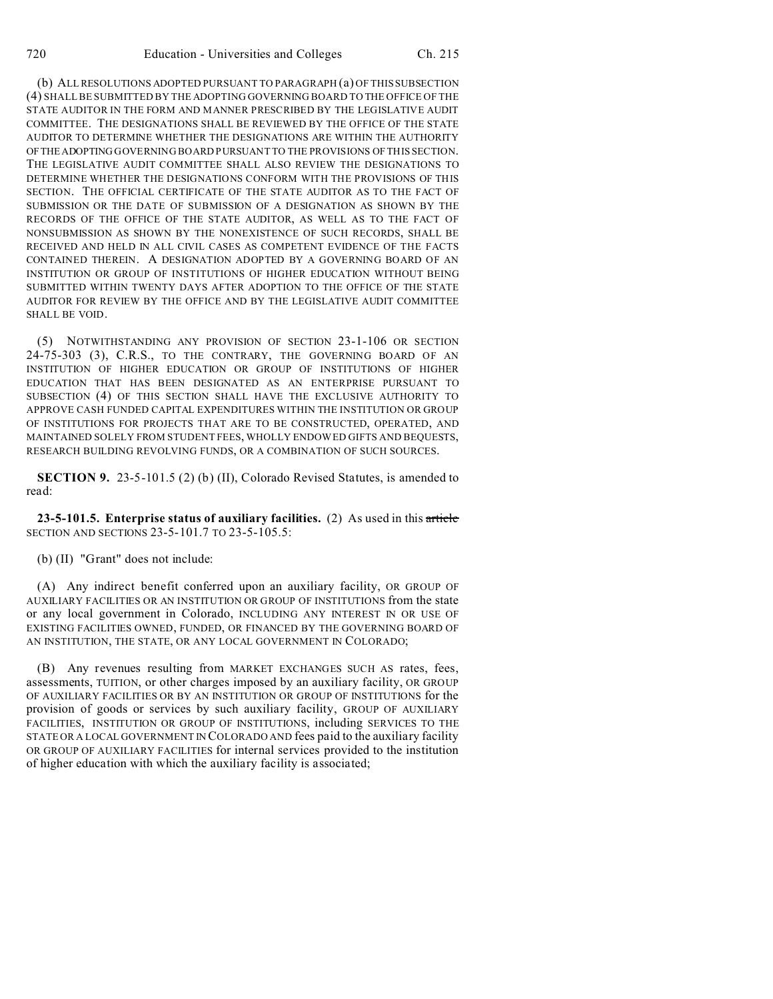(b) ALL RESOLUTIONS ADOPTED PURSUANT TO PARAGRAPH (a) OF THIS SUBSECTION (4) SHALL BE SUBMITTED BY THE ADOPTING GOVERNING BOARD TO THE OFFICE OF THE STATE AUDITOR IN THE FORM AND MANNER PRESCRIBED BY THE LEGISLATIVE AUDIT COMMITTEE. THE DESIGNATIONS SHALL BE REVIEWED BY THE OFFICE OF THE STATE AUDITOR TO DETERMINE WHETHER THE DESIGNATIONS ARE WITHIN THE AUTHORITY OFTHEADOPTING GOVERNING BOARD PURSUANT TO THE PROVISIONS OF THIS SECTION. THE LEGISLATIVE AUDIT COMMITTEE SHALL ALSO REVIEW THE DESIGNATIONS TO DETERMINE WHETHER THE DESIGNATIONS CONFORM WITH THE PROVISIONS OF THIS SECTION. THE OFFICIAL CERTIFICATE OF THE STATE AUDITOR AS TO THE FACT OF SUBMISSION OR THE DATE OF SUBMISSION OF A DESIGNATION AS SHOWN BY THE RECORDS OF THE OFFICE OF THE STATE AUDITOR, AS WELL AS TO THE FACT OF NONSUBMISSION AS SHOWN BY THE NONEXISTENCE OF SUCH RECORDS, SHALL BE RECEIVED AND HELD IN ALL CIVIL CASES AS COMPETENT EVIDENCE OF THE FACTS CONTAINED THEREIN. A DESIGNATION ADOPTED BY A GOVERNING BOARD OF AN INSTITUTION OR GROUP OF INSTITUTIONS OF HIGHER EDUCATION WITHOUT BEING SUBMITTED WITHIN TWENTY DAYS AFTER ADOPTION TO THE OFFICE OF THE STATE AUDITOR FOR REVIEW BY THE OFFICE AND BY THE LEGISLATIVE AUDIT COMMITTEE SHALL BE VOID.

(5) NOTWITHSTANDING ANY PROVISION OF SECTION 23-1-106 OR SECTION 24-75-303 (3), C.R.S., TO THE CONTRARY, THE GOVERNING BOARD OF AN INSTITUTION OF HIGHER EDUCATION OR GROUP OF INSTITUTIONS OF HIGHER EDUCATION THAT HAS BEEN DESIGNATED AS AN ENTERPRISE PURSUANT TO SUBSECTION (4) OF THIS SECTION SHALL HAVE THE EXCLUSIVE AUTHORITY TO APPROVE CASH FUNDED CAPITAL EXPENDITURES WITHIN THE INSTITUTION OR GROUP OF INSTITUTIONS FOR PROJECTS THAT ARE TO BE CONSTRUCTED, OPERATED, AND MAINTAINED SOLELY FROM STUDENT FEES, WHOLLY ENDOWED GIFTS AND BEQUESTS, RESEARCH BUILDING REVOLVING FUNDS, OR A COMBINATION OF SUCH SOURCES.

**SECTION 9.** 23-5-101.5 (2) (b) (II), Colorado Revised Statutes, is amended to read:

**23-5-101.5. Enterprise status of auxiliary facilities.** (2) As used in this article SECTION AND SECTIONS 23-5-101.7 TO 23-5-105.5:

(b) (II) "Grant" does not include:

(A) Any indirect benefit conferred upon an auxiliary facility, OR GROUP OF AUXILIARY FACILITIES OR AN INSTITUTION OR GROUP OF INSTITUTIONS from the state or any local government in Colorado, INCLUDING ANY INTEREST IN OR USE OF EXISTING FACILITIES OWNED, FUNDED, OR FINANCED BY THE GOVERNING BOARD OF AN INSTITUTION, THE STATE, OR ANY LOCAL GOVERNMENT IN COLORADO;

(B) Any revenues resulting from MARKET EXCHANGES SUCH AS rates, fees, assessments, TUITION, or other charges imposed by an auxiliary facility, OR GROUP OF AUXILIARY FACILITIES OR BY AN INSTITUTION OR GROUP OF INSTITUTIONS for the provision of goods or services by such auxiliary facility, GROUP OF AUXILIARY FACILITIES, INSTITUTION OR GROUP OF INSTITUTIONS, including SERVICES TO THE STATE OR A LOCAL GOVERNMENT IN COLORADO AND fees paid to the auxiliary facility OR GROUP OF AUXILIARY FACILITIES for internal services provided to the institution of higher education with which the auxiliary facility is associated;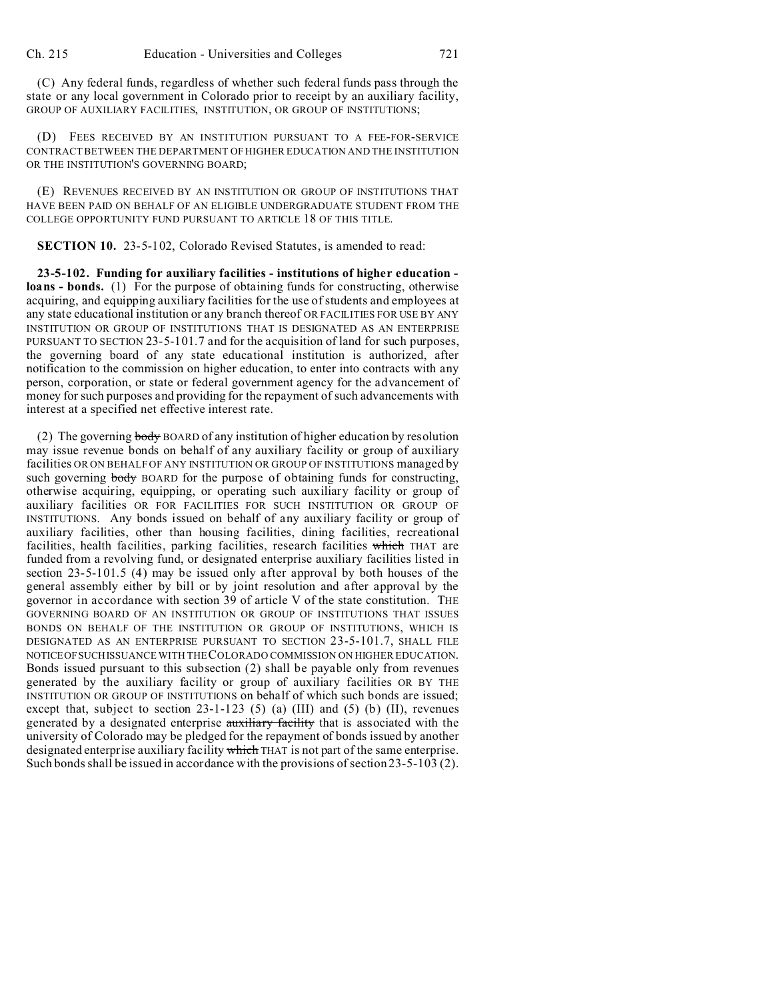(C) Any federal funds, regardless of whether such federal funds pass through the state or any local government in Colorado prior to receipt by an auxiliary facility, GROUP OF AUXILIARY FACILITIES, INSTITUTION, OR GROUP OF INSTITUTIONS;

(D) FEES RECEIVED BY AN INSTITUTION PURSUANT TO A FEE-FOR-SERVICE CONTRACT BETWEEN THE DEPARTMENT OF HIGHER EDUCATION AND THE INSTITUTION OR THE INSTITUTION'S GOVERNING BOARD;

(E) REVENUES RECEIVED BY AN INSTITUTION OR GROUP OF INSTITUTIONS THAT HAVE BEEN PAID ON BEHALF OF AN ELIGIBLE UNDERGRADUATE STUDENT FROM THE COLLEGE OPPORTUNITY FUND PURSUANT TO ARTICLE 18 OF THIS TITLE.

**SECTION 10.** 23-5-102, Colorado Revised Statutes, is amended to read:

**23-5-102. Funding for auxiliary facilities - institutions of higher education loans - bonds.** (1) For the purpose of obtaining funds for constructing, otherwise acquiring, and equipping auxiliary facilities for the use of students and employees at any state educational institution or any branch thereof OR FACILITIES FOR USE BY ANY INSTITUTION OR GROUP OF INSTITUTIONS THAT IS DESIGNATED AS AN ENTERPRISE PURSUANT TO SECTION 23-5-101.7 and for the acquisition of land for such purposes, the governing board of any state educational institution is authorized, after notification to the commission on higher education, to enter into contracts with any person, corporation, or state or federal government agency for the advancement of money for such purposes and providing for the repayment of such advancements with interest at a specified net effective interest rate.

(2) The governing body BOARD of any institution of higher education by resolution may issue revenue bonds on behalf of any auxiliary facility or group of auxiliary facilities OR ON BEHALF OF ANY INSTITUTION OR GROUP OF INSTITUTIONS managed by such governing body BOARD for the purpose of obtaining funds for constructing, otherwise acquiring, equipping, or operating such auxiliary facility or group of auxiliary facilities OR FOR FACILITIES FOR SUCH INSTITUTION OR GROUP OF INSTITUTIONS. Any bonds issued on behalf of any auxiliary facility or group of auxiliary facilities, other than housing facilities, dining facilities, recreational facilities, health facilities, parking facilities, research facilities which THAT are funded from a revolving fund, or designated enterprise auxiliary facilities listed in section 23-5-101.5 (4) may be issued only after approval by both houses of the general assembly either by bill or by joint resolution and after approval by the governor in accordance with section 39 of article V of the state constitution. THE GOVERNING BOARD OF AN INSTITUTION OR GROUP OF INSTITUTIONS THAT ISSUES BONDS ON BEHALF OF THE INSTITUTION OR GROUP OF INSTITUTIONS, WHICH IS DESIGNATED AS AN ENTERPRISE PURSUANT TO SECTION 23-5-101.7, SHALL FILE NOTICEOFSUCHISSUANCE WITH THE COLORADO COMMISSION ON HIGHER EDUCATION. Bonds issued pursuant to this subsection (2) shall be payable only from revenues generated by the auxiliary facility or group of auxiliary facilities OR BY THE INSTITUTION OR GROUP OF INSTITUTIONS on behalf of which such bonds are issued; except that, subject to section  $23-1-123$  (5) (a) (III) and (5) (b) (II), revenues generated by a designated enterprise auxiliary facility that is associated with the university of Colorado may be pledged for the repayment of bonds issued by another designated enterprise auxiliary facility which THAT is not part of the same enterprise. Such bonds shall be issued in accordance with the provisions of section 23-5-103 (2).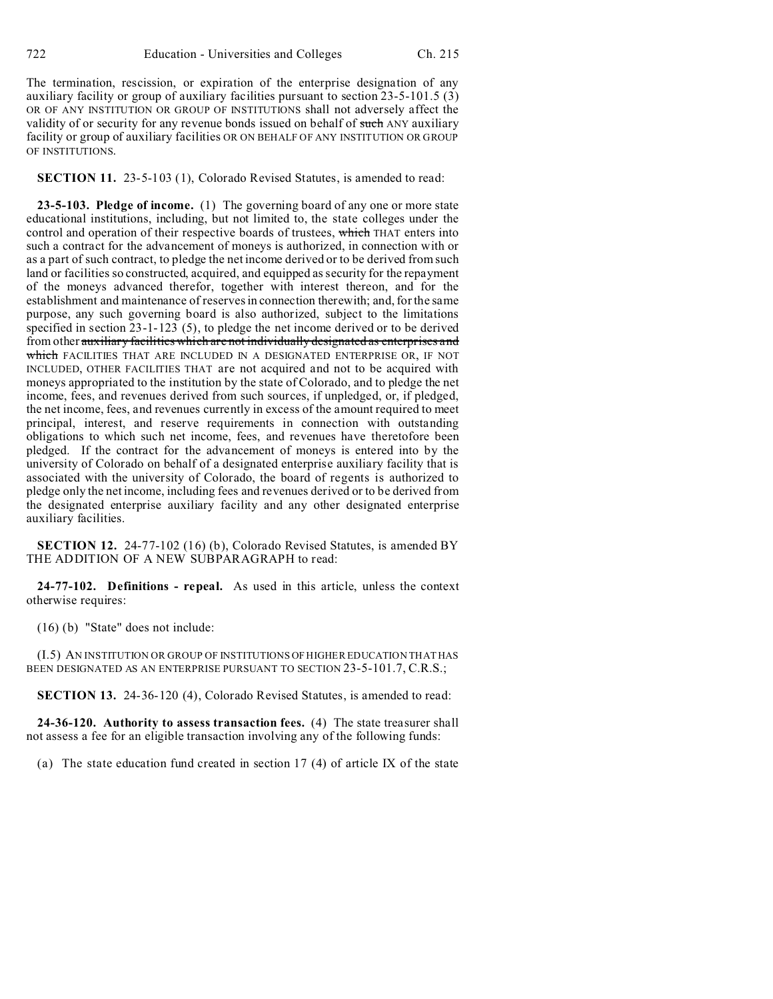The termination, rescission, or expiration of the enterprise designation of any auxiliary facility or group of auxiliary facilities pursuant to section 23-5-101.5 (3) OR OF ANY INSTITUTION OR GROUP OF INSTITUTIONS shall not adversely affect the validity of or security for any revenue bonds issued on behalf of such ANY auxiliary facility or group of auxiliary facilities OR ON BEHALF OF ANY INSTITUTION OR GROUP OF INSTITUTIONS.

**SECTION 11.** 23-5-103 (1), Colorado Revised Statutes, is amended to read:

**23-5-103. Pledge of income.** (1) The governing board of any one or more state educational institutions, including, but not limited to, the state colleges under the control and operation of their respective boards of trustees, which THAT enters into such a contract for the advancement of moneys is authorized, in connection with or as a part of such contract, to pledge the net income derived or to be derived from such land or facilities so constructed, acquired, and equipped as security for the repayment of the moneys advanced therefor, together with interest thereon, and for the establishment and maintenance of reserves in connection therewith; and, for the same purpose, any such governing board is also authorized, subject to the limitations specified in section 23-1-123 (5), to pledge the net income derived or to be derived from other auxiliary facilities which are not individually designated as enterprises and which FACILITIES THAT ARE INCLUDED IN A DESIGNATED ENTERPRISE OR, IF NOT INCLUDED, OTHER FACILITIES THAT are not acquired and not to be acquired with moneys appropriated to the institution by the state of Colorado, and to pledge the net income, fees, and revenues derived from such sources, if unpledged, or, if pledged, the net income, fees, and revenues currently in excess of the amount required to meet principal, interest, and reserve requirements in connection with outstanding obligations to which such net income, fees, and revenues have theretofore been pledged. If the contract for the advancement of moneys is entered into by the university of Colorado on behalf of a designated enterprise auxiliary facility that is associated with the university of Colorado, the board of regents is authorized to pledge only the net income, including fees and revenues derived or to be derived from the designated enterprise auxiliary facility and any other designated enterprise auxiliary facilities.

**SECTION 12.** 24-77-102 (16) (b), Colorado Revised Statutes, is amended BY THE ADDITION OF A NEW SUBPARAGRAPH to read:

**24-77-102. Definitions - repeal.** As used in this article, unless the context otherwise requires:

(16) (b) "State" does not include:

(I.5) AN INSTITUTION OR GROUP OF INSTITUTIONS OF HIGHER EDUCATION THAT HAS BEEN DESIGNATED AS AN ENTERPRISE PURSUANT TO SECTION 23-5-101.7, C.R.S.;

**SECTION 13.** 24-36-120 (4), Colorado Revised Statutes, is amended to read:

**24-36-120. Authority to assess transaction fees.** (4) The state treasurer shall not assess a fee for an eligible transaction involving any of the following funds:

(a) The state education fund created in section 17 (4) of article IX of the state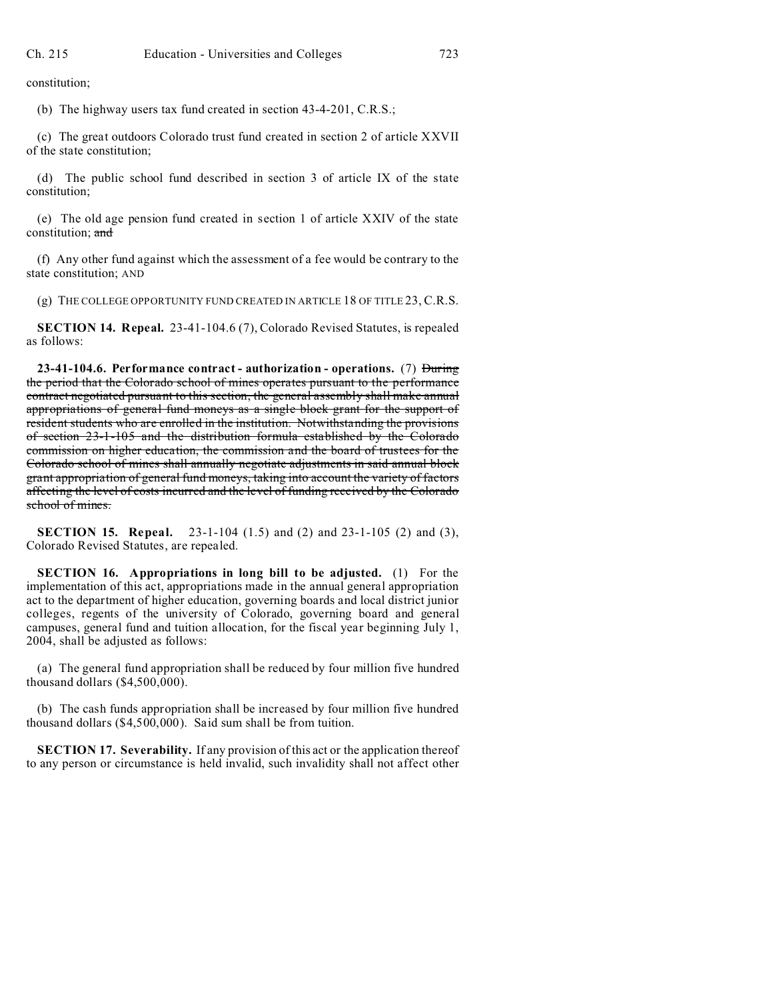constitution;

(b) The highway users tax fund created in section 43-4-201, C.R.S.;

(c) The great outdoors Colorado trust fund created in section 2 of article XXVII of the state constitution;

(d) The public school fund described in section 3 of article IX of the state constitution;

(e) The old age pension fund created in section 1 of article XXIV of the state constitution; and

(f) Any other fund against which the assessment of a fee would be contrary to the state constitution; AND

(g) THE COLLEGE OPPORTUNITY FUND CREATED IN ARTICLE 18 OF TITLE 23, C.R.S.

**SECTION 14. Repeal.** 23-41-104.6 (7), Colorado Revised Statutes, is repealed as follows:

**23-41-104.6. Performance contract - authorization - operations.** (7) During the period that the Colorado school of mines operates pursuant to the performance contract negotiated pursuant to this section, the general assembly shall make annual appropriations of general fund moneys as a single block grant for the support of resident students who are enrolled in the institution. Notwithstanding the provisions of section 23-1-105 and the distribution formula established by the Colorado commission on higher education, the commission and the board of trustees for the Colorado school of mines shall annually negotiate adjustments in said annual block grant appropriation of general fund moneys, taking into account the variety of factors affecting the level of costs incurred and the level of funding received by the Colorado school of mines.

**SECTION 15. Repeal.** 23-1-104 (1.5) and (2) and 23-1-105 (2) and (3), Colorado Revised Statutes, are repealed.

**SECTION 16. Appropriations in long bill to be adjusted.** (1) For the implementation of this act, appropriations made in the annual general appropriation act to the department of higher education, governing boards and local district junior colleges, regents of the university of Colorado, governing board and general campuses, general fund and tuition allocation, for the fiscal year beginning July 1, 2004, shall be adjusted as follows:

(a) The general fund appropriation shall be reduced by four million five hundred thousand dollars (\$4,500,000).

(b) The cash funds appropriation shall be increased by four million five hundred thousand dollars (\$4,500,000). Said sum shall be from tuition.

**SECTION 17. Severability.** If any provision of this act or the application thereof to any person or circumstance is held invalid, such invalidity shall not affect other